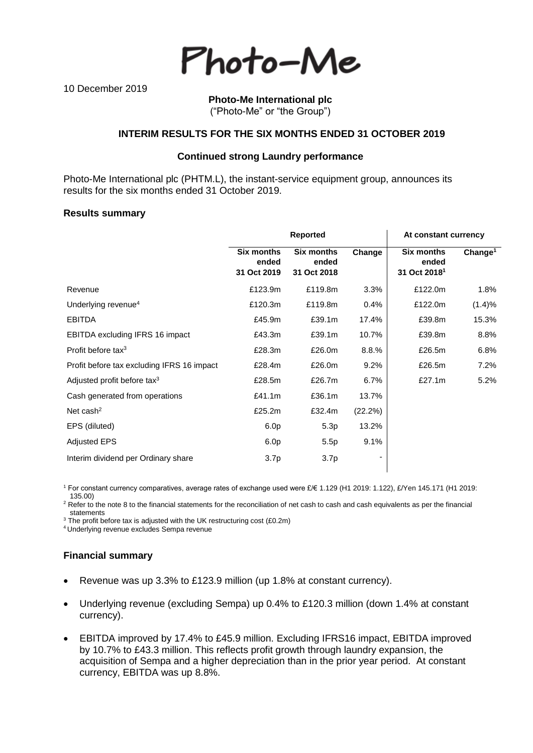Photo-Me

10 December 2019

### **Photo-Me International plc** ("Photo-Me" or "the Group")

### **INTERIM RESULTS FOR THE SIX MONTHS ENDED 31 OCTOBER 2019**

### **Continued strong Laundry performance**

Photo-Me International plc (PHTM.L), the instant-service equipment group, announces its results for the six months ended 31 October 2019.

#### **Results summary**

|                                            | <b>Reported</b>                           |                                           |         | At constant currency                                   |                     |  |
|--------------------------------------------|-------------------------------------------|-------------------------------------------|---------|--------------------------------------------------------|---------------------|--|
|                                            | <b>Six months</b><br>ended<br>31 Oct 2019 | <b>Six months</b><br>ended<br>31 Oct 2018 | Change  | <b>Six months</b><br>ended<br>31 Oct 2018 <sup>1</sup> | Change <sup>1</sup> |  |
| Revenue                                    | £123.9m                                   | £119.8m                                   | 3.3%    | £122.0m                                                | 1.8%                |  |
| Underlying revenue <sup>4</sup>            | £120.3m                                   | £119.8m                                   | 0.4%    | £122.0m                                                | (1.4)%              |  |
| <b>EBITDA</b>                              | £45.9m                                    | £39.1m                                    | 17.4%   | £39.8m                                                 | 15.3%               |  |
| <b>EBITDA excluding IFRS 16 impact</b>     | £43.3m                                    | £39.1m                                    | 10.7%   | £39.8m                                                 | 8.8%                |  |
| Profit before tax $3$                      | £28.3m                                    | £26.0m                                    | 8.8.%   | £26.5m                                                 | 6.8%                |  |
| Profit before tax excluding IFRS 16 impact | £28.4m                                    | £26.0m                                    | 9.2%    | £26.5m                                                 | 7.2%                |  |
| Adjusted profit before tax <sup>3</sup>    | £28.5m                                    | £26.7m                                    | 6.7%    | £27.1m                                                 | 5.2%                |  |
| Cash generated from operations             | £41.1m                                    | £36.1m                                    | 13.7%   |                                                        |                     |  |
| Net cash $2$                               | £25.2m                                    | £32.4m                                    | (22.2%) |                                                        |                     |  |
| EPS (diluted)                              | 6.0 <sub>p</sub>                          | 5.3p                                      | 13.2%   |                                                        |                     |  |
| <b>Adjusted EPS</b>                        | 6.0 <sub>p</sub>                          | 5.5p                                      | 9.1%    |                                                        |                     |  |
| Interim dividend per Ordinary share        | 3.7p                                      | 3.7 <sub>p</sub>                          | ۰       |                                                        |                     |  |

<sup>1</sup> For constant currency comparatives, average rates of exchange used were £/€ 1.129 (H1 2019: 1.122), £/Yen 145.171 (H1 2019: 135.00)

<sup>2</sup> Refer to the note 8 to the financial statements for the reconciliation of net cash to cash and cash equivalents as per the financial statements

<sup>3</sup> The profit before tax is adjusted with the UK restructuring cost (£0.2m)

<sup>4</sup>Underlying revenue excludes Sempa revenue

# **Financial summary**

- Revenue was up 3.3% to £123.9 million (up 1.8% at constant currency).
- Underlying revenue (excluding Sempa) up 0.4% to £120.3 million (down 1.4% at constant currency).
- EBITDA improved by 17.4% to £45.9 million. Excluding IFRS16 impact, EBITDA improved by 10.7% to £43.3 million. This reflects profit growth through laundry expansion, the acquisition of Sempa and a higher depreciation than in the prior year period. At constant currency, EBITDA was up 8.8%.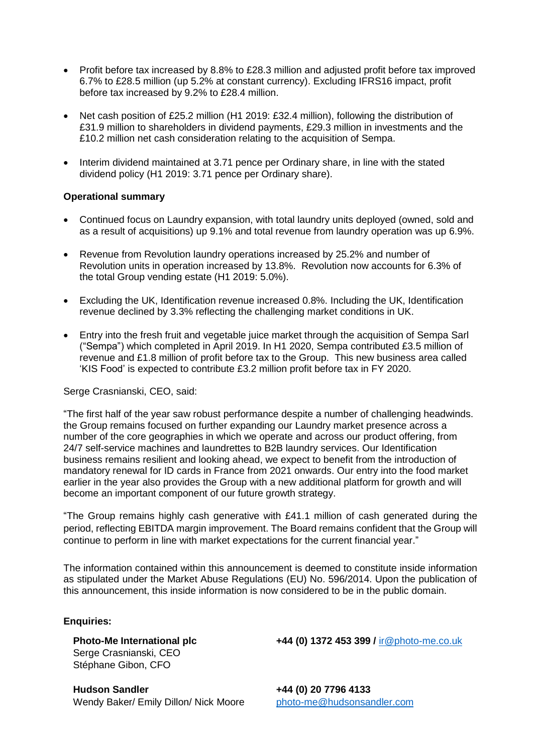- Profit before tax increased by 8.8% to £28.3 million and adjusted profit before tax improved 6.7% to £28.5 million (up 5.2% at constant currency). Excluding IFRS16 impact, profit before tax increased by 9.2% to £28.4 million.
- Net cash position of £25.2 million (H1 2019: £32.4 million), following the distribution of £31.9 million to shareholders in dividend payments, £29.3 million in investments and the £10.2 million net cash consideration relating to the acquisition of Sempa.
- Interim dividend maintained at 3.71 pence per Ordinary share, in line with the stated dividend policy (H1 2019: 3.71 pence per Ordinary share).

# **Operational summary**

- Continued focus on Laundry expansion, with total laundry units deployed (owned, sold and as a result of acquisitions) up 9.1% and total revenue from laundry operation was up 6.9%.
- Revenue from Revolution laundry operations increased by 25.2% and number of Revolution units in operation increased by 13.8%. Revolution now accounts for 6.3% of the total Group vending estate (H1 2019: 5.0%).
- Excluding the UK, Identification revenue increased 0.8%. Including the UK, Identification revenue declined by 3.3% reflecting the challenging market conditions in UK.
- Entry into the fresh fruit and vegetable juice market through the acquisition of Sempa Sarl ("Sempa") which completed in April 2019. In H1 2020, Sempa contributed £3.5 million of revenue and £1.8 million of profit before tax to the Group. This new business area called 'KIS Food' is expected to contribute £3.2 million profit before tax in FY 2020.

# Serge Crasnianski, CEO, said:

"The first half of the year saw robust performance despite a number of challenging headwinds. the Group remains focused on further expanding our Laundry market presence across a number of the core geographies in which we operate and across our product offering, from 24/7 self-service machines and laundrettes to B2B laundry services. Our Identification business remains resilient and looking ahead, we expect to benefit from the introduction of mandatory renewal for ID cards in France from 2021 onwards. Our entry into the food market earlier in the year also provides the Group with a new additional platform for growth and will become an important component of our future growth strategy.

"The Group remains highly cash generative with £41.1 million of cash generated during the period, reflecting EBITDA margin improvement. The Board remains confident that the Group will continue to perform in line with market expectations for the current financial year."

The information contained within this announcement is deemed to constitute inside information as stipulated under the Market Abuse Regulations (EU) No. 596/2014. Upon the publication of this announcement, this inside information is now considered to be in the public domain.

# **Enquiries:**

Serge Crasnianski, CEO Stéphane Gibon, CFO

**Hudson Sandler +44 (0) 20 7796 4133**  Wendy Baker/ Emily Dillon/ Nick Moore [photo-me@hudsonsandler.com](mailto:photo-me@hudsonsandler.com)

**Photo-Me International plc +44 (0) 1372 453 399 /** [ir@photo-me.co.uk](mailto:ir@photo-me.co.uk)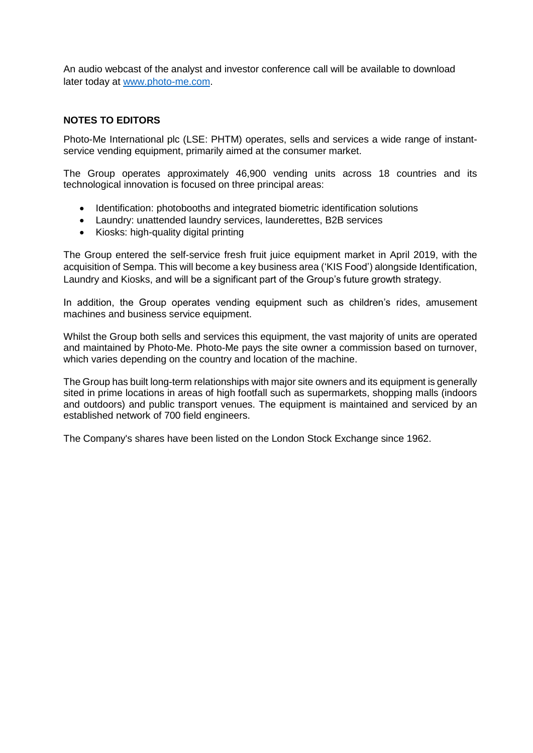An audio webcast of the analyst and investor conference call will be available to download later today at [www.photo-me.com.](http://www.photo-me.com/)

# **NOTES TO EDITORS**

Photo-Me International plc (LSE: PHTM) operates, sells and services a wide range of instantservice vending equipment, primarily aimed at the consumer market.

The Group operates approximately 46,900 vending units across 18 countries and its technological innovation is focused on three principal areas:

- Identification: photobooths and integrated biometric identification solutions
- Laundry: unattended laundry services, launderettes, B2B services
- Kiosks: high-quality digital printing

The Group entered the self-service fresh fruit juice equipment market in April 2019, with the acquisition of Sempa. This will become a key business area ('KIS Food') alongside Identification, Laundry and Kiosks, and will be a significant part of the Group's future growth strategy.

In addition, the Group operates vending equipment such as children's rides, amusement machines and business service equipment.

Whilst the Group both sells and services this equipment, the vast majority of units are operated and maintained by Photo-Me. Photo-Me pays the site owner a commission based on turnover, which varies depending on the country and location of the machine.

The Group has built long-term relationships with major site owners and its equipment is generally sited in prime locations in areas of high footfall such as supermarkets, shopping malls (indoors and outdoors) and public transport venues. The equipment is maintained and serviced by an established network of 700 field engineers.

The Company's shares have been listed on the London Stock Exchange since 1962.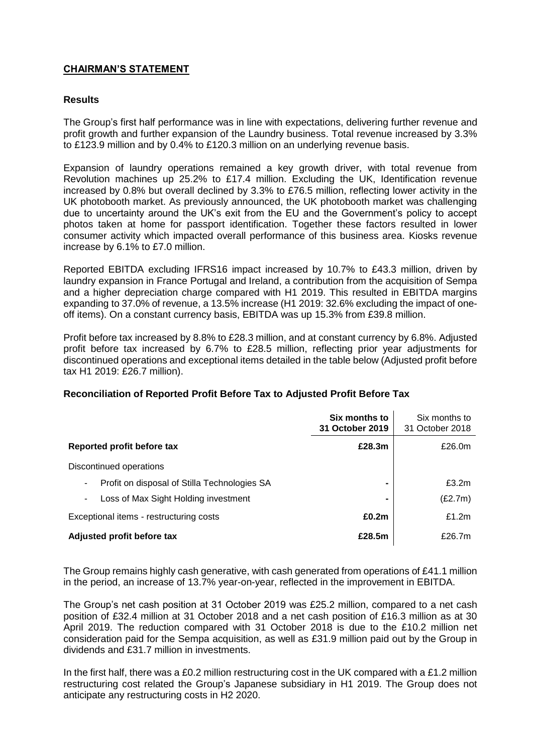# **CHAIRMAN'S STATEMENT**

## **Results**

The Group's first half performance was in line with expectations, delivering further revenue and profit growth and further expansion of the Laundry business. Total revenue increased by 3.3% to £123.9 million and by 0.4% to £120.3 million on an underlying revenue basis.

Expansion of laundry operations remained a key growth driver, with total revenue from Revolution machines up 25.2% to £17.4 million. Excluding the UK, Identification revenue increased by 0.8% but overall declined by 3.3% to £76.5 million, reflecting lower activity in the UK photobooth market. As previously announced, the UK photobooth market was challenging due to uncertainty around the UK's exit from the EU and the Government's policy to accept photos taken at home for passport identification. Together these factors resulted in lower consumer activity which impacted overall performance of this business area. Kiosks revenue increase by 6.1% to £7.0 million.

Reported EBITDA excluding IFRS16 impact increased by 10.7% to £43.3 million, driven by laundry expansion in France Portugal and Ireland, a contribution from the acquisition of Sempa and a higher depreciation charge compared with H1 2019. This resulted in EBITDA margins expanding to 37.0% of revenue, a 13.5% increase (H1 2019: 32.6% excluding the impact of oneoff items). On a constant currency basis, EBITDA was up 15.3% from £39.8 million.

Profit before tax increased by 8.8% to £28.3 million, and at constant currency by 6.8%. Adjusted profit before tax increased by 6.7% to £28.5 million, reflecting prior year adjustments for discontinued operations and exceptional items detailed in the table below (Adjusted profit before tax H1 2019: £26.7 million).

|                                                   | Six months to<br>31 October 2019 | Six months to<br>31 October 2018 |
|---------------------------------------------------|----------------------------------|----------------------------------|
| Reported profit before tax                        | £28.3m                           | £26.0m                           |
| Discontinued operations                           |                                  |                                  |
| Profit on disposal of Stilla Technologies SA<br>٠ | $\blacksquare$                   | £3.2m                            |
| Loss of Max Sight Holding investment<br>۰.        | $\blacksquare$                   | (£2.7m)                          |
| Exceptional items - restructuring costs           | £0.2m                            | £1.2m                            |
| Adjusted profit before tax                        | £28.5m                           | £26.7m                           |

# **Reconciliation of Reported Profit Before Tax to Adjusted Profit Before Tax**

The Group remains highly cash generative, with cash generated from operations of £41.1 million in the period, an increase of 13.7% year-on-year, reflected in the improvement in EBITDA.

The Group's net cash position at 31 October 2019 was £25.2 million, compared to a net cash position of £32.4 million at 31 October 2018 and a net cash position of £16.3 million as at 30 April 2019. The reduction compared with 31 October 2018 is due to the £10.2 million net consideration paid for the Sempa acquisition, as well as £31.9 million paid out by the Group in dividends and £31.7 million in investments.

In the first half, there was a £0.2 million restructuring cost in the UK compared with a £1.2 million restructuring cost related the Group's Japanese subsidiary in H1 2019. The Group does not anticipate any restructuring costs in H2 2020.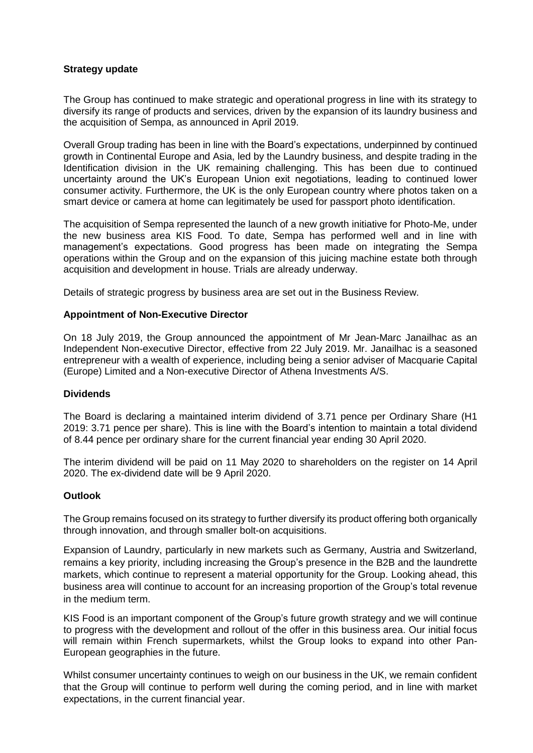# **Strategy update**

The Group has continued to make strategic and operational progress in line with its strategy to diversify its range of products and services, driven by the expansion of its laundry business and the acquisition of Sempa, as announced in April 2019.

Overall Group trading has been in line with the Board's expectations, underpinned by continued growth in Continental Europe and Asia, led by the Laundry business, and despite trading in the Identification division in the UK remaining challenging. This has been due to continued uncertainty around the UK's European Union exit negotiations, leading to continued lower consumer activity. Furthermore, the UK is the only European country where photos taken on a smart device or camera at home can legitimately be used for passport photo identification.

The acquisition of Sempa represented the launch of a new growth initiative for Photo-Me, under the new business area KIS Food. To date, Sempa has performed well and in line with management's expectations. Good progress has been made on integrating the Sempa operations within the Group and on the expansion of this juicing machine estate both through acquisition and development in house. Trials are already underway.

Details of strategic progress by business area are set out in the Business Review.

# **Appointment of Non-Executive Director**

On 18 July 2019, the Group announced the appointment of Mr Jean-Marc Janailhac as an Independent Non-executive Director, effective from 22 July 2019. Mr. Janailhac is a seasoned entrepreneur with a wealth of experience, including being a senior adviser of Macquarie Capital (Europe) Limited and a Non-executive Director of Athena Investments A/S.

### **Dividends**

The Board is declaring a maintained interim dividend of 3.71 pence per Ordinary Share (H1 2019: 3.71 pence per share). This is line with the Board's intention to maintain a total dividend of 8.44 pence per ordinary share for the current financial year ending 30 April 2020.

The interim dividend will be paid on 11 May 2020 to shareholders on the register on 14 April 2020. The ex-dividend date will be 9 April 2020.

### **Outlook**

The Group remains focused on its strategy to further diversify its product offering both organically through innovation, and through smaller bolt-on acquisitions.

Expansion of Laundry, particularly in new markets such as Germany, Austria and Switzerland, remains a key priority, including increasing the Group's presence in the B2B and the laundrette markets, which continue to represent a material opportunity for the Group. Looking ahead, this business area will continue to account for an increasing proportion of the Group's total revenue in the medium term.

KIS Food is an important component of the Group's future growth strategy and we will continue to progress with the development and rollout of the offer in this business area. Our initial focus will remain within French supermarkets, whilst the Group looks to expand into other Pan-European geographies in the future.

Whilst consumer uncertainty continues to weigh on our business in the UK, we remain confident that the Group will continue to perform well during the coming period, and in line with market expectations, in the current financial year.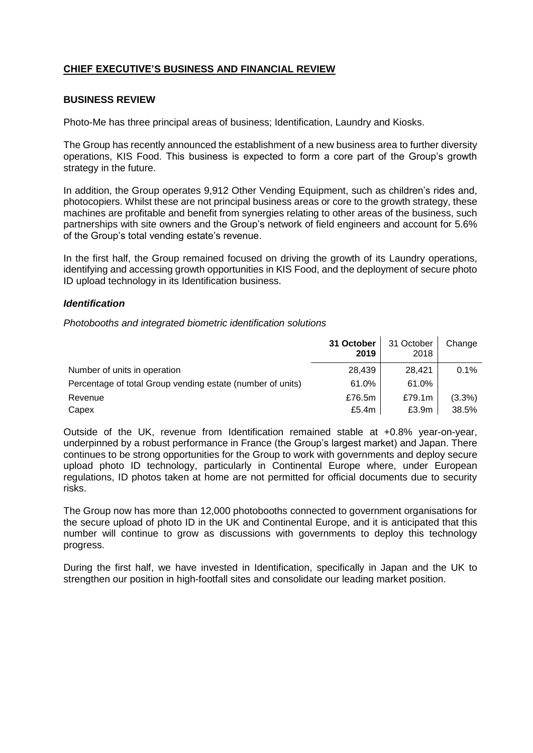# **CHIEF EXECUTIVE'S BUSINESS AND FINANCIAL REVIEW**

### **BUSINESS REVIEW**

Photo-Me has three principal areas of business; Identification, Laundry and Kiosks.

The Group has recently announced the establishment of a new business area to further diversity operations, KIS Food. This business is expected to form a core part of the Group's growth strategy in the future.

In addition, the Group operates 9,912 Other Vending Equipment, such as children's rides and, photocopiers. Whilst these are not principal business areas or core to the growth strategy, these machines are profitable and benefit from synergies relating to other areas of the business, such partnerships with site owners and the Group's network of field engineers and account for 5.6% of the Group's total vending estate's revenue.

In the first half, the Group remained focused on driving the growth of its Laundry operations, identifying and accessing growth opportunities in KIS Food, and the deployment of secure photo ID upload technology in its Identification business.

### *Identification*

*Photobooths and integrated biometric identification solutions*

|                                                            | 31 October<br>2019 | 31 October<br>2018 | Change    |
|------------------------------------------------------------|--------------------|--------------------|-----------|
| Number of units in operation                               | 28,439             | 28.421             | 0.1%      |
| Percentage of total Group vending estate (number of units) | 61.0%              | 61.0%              |           |
| Revenue                                                    | £76.5m             | £79.1m             | $(3.3\%)$ |
| Capex                                                      | £5.4 $m$           | £3.9m              | 38.5%     |

Outside of the UK, revenue from Identification remained stable at +0.8% year-on-year, underpinned by a robust performance in France (the Group's largest market) and Japan. There continues to be strong opportunities for the Group to work with governments and deploy secure upload photo ID technology, particularly in Continental Europe where, under European regulations, ID photos taken at home are not permitted for official documents due to security risks.

The Group now has more than 12,000 photobooths connected to government organisations for the secure upload of photo ID in the UK and Continental Europe, and it is anticipated that this number will continue to grow as discussions with governments to deploy this technology progress.

During the first half, we have invested in Identification, specifically in Japan and the UK to strengthen our position in high-footfall sites and consolidate our leading market position.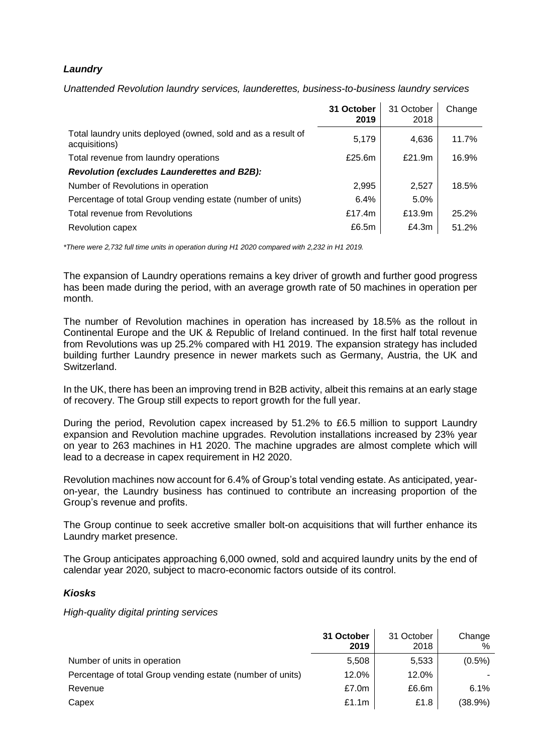# *Laundry*

*Unattended Revolution laundry services, launderettes, business-to-business laundry services*

|                                                                               | 31 October<br>2019 | 31 October<br>2018 | Change |
|-------------------------------------------------------------------------------|--------------------|--------------------|--------|
| Total laundry units deployed (owned, sold and as a result of<br>acquisitions) | 5,179              | 4,636              | 11.7%  |
| Total revenue from laundry operations                                         | £25.6 $m$          | £21.9m             | 16.9%  |
| <b>Revolution (excludes Launderettes and B2B):</b>                            |                    |                    |        |
| Number of Revolutions in operation                                            | 2,995              | 2,527              | 18.5%  |
| Percentage of total Group vending estate (number of units)                    | 6.4%               | 5.0%               |        |
| <b>Total revenue from Revolutions</b>                                         | £17.4m             | £13.9m             | 25.2%  |
| <b>Revolution capex</b>                                                       | £6.5m              | £4.3m              | 51.2%  |

*\*There were 2,732 full time units in operation during H1 2020 compared with 2,232 in H1 2019.*

The expansion of Laundry operations remains a key driver of growth and further good progress has been made during the period, with an average growth rate of 50 machines in operation per month.

The number of Revolution machines in operation has increased by 18.5% as the rollout in Continental Europe and the UK & Republic of Ireland continued. In the first half total revenue from Revolutions was up 25.2% compared with H1 2019. The expansion strategy has included building further Laundry presence in newer markets such as Germany, Austria, the UK and Switzerland.

In the UK, there has been an improving trend in B2B activity, albeit this remains at an early stage of recovery. The Group still expects to report growth for the full year.

During the period, Revolution capex increased by 51.2% to £6.5 million to support Laundry expansion and Revolution machine upgrades. Revolution installations increased by 23% year on year to 263 machines in H1 2020. The machine upgrades are almost complete which will lead to a decrease in capex requirement in H2 2020.

Revolution machines now account for 6.4% of Group's total vending estate. As anticipated, yearon-year, the Laundry business has continued to contribute an increasing proportion of the Group's revenue and profits.

The Group continue to seek accretive smaller bolt-on acquisitions that will further enhance its Laundry market presence.

The Group anticipates approaching 6,000 owned, sold and acquired laundry units by the end of calendar year 2020, subject to macro-economic factors outside of its control.

# *Kiosks*

*High-quality digital printing services*

|                                                            | 31 October<br>2019 | 31 October<br>2018 | Change<br>$\%$ |
|------------------------------------------------------------|--------------------|--------------------|----------------|
| Number of units in operation                               | 5,508              | 5,533              | $(0.5\%)$      |
| Percentage of total Group vending estate (number of units) | 12.0%              | 12.0%              |                |
| Revenue                                                    | £7.0m              | £6.6m              | 6.1%           |
| Capex                                                      | £1.1m              | £1.8               | (38.9%)        |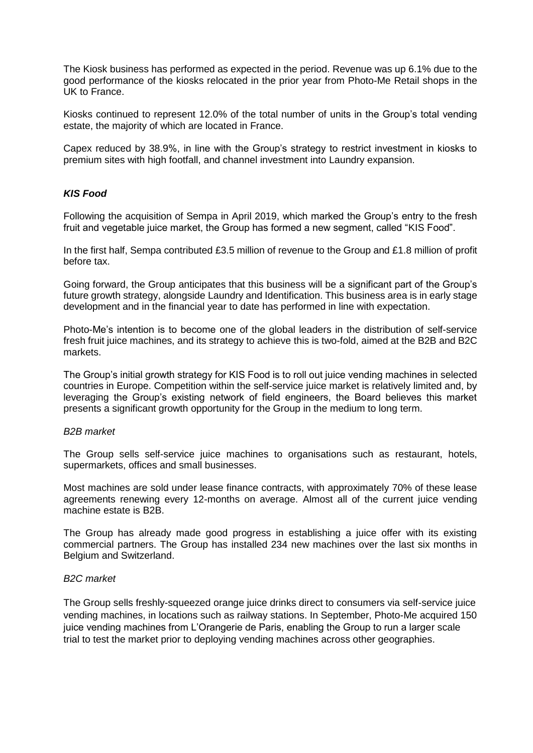The Kiosk business has performed as expected in the period. Revenue was up 6.1% due to the good performance of the kiosks relocated in the prior year from Photo-Me Retail shops in the UK to France.

Kiosks continued to represent 12.0% of the total number of units in the Group's total vending estate, the majority of which are located in France.

Capex reduced by 38.9%, in line with the Group's strategy to restrict investment in kiosks to premium sites with high footfall, and channel investment into Laundry expansion.

# *KIS Food*

Following the acquisition of Sempa in April 2019, which marked the Group's entry to the fresh fruit and vegetable juice market, the Group has formed a new segment, called "KIS Food".

In the first half, Sempa contributed £3.5 million of revenue to the Group and £1.8 million of profit before tax.

Going forward, the Group anticipates that this business will be a significant part of the Group's future growth strategy, alongside Laundry and Identification. This business area is in early stage development and in the financial year to date has performed in line with expectation.

Photo-Me's intention is to become one of the global leaders in the distribution of self-service fresh fruit juice machines, and its strategy to achieve this is two-fold, aimed at the B2B and B2C markets.

The Group's initial growth strategy for KIS Food is to roll out juice vending machines in selected countries in Europe. Competition within the self-service juice market is relatively limited and, by leveraging the Group's existing network of field engineers, the Board believes this market presents a significant growth opportunity for the Group in the medium to long term.

### *B2B market*

The Group sells self-service juice machines to organisations such as restaurant, hotels, supermarkets, offices and small businesses.

Most machines are sold under lease finance contracts, with approximately 70% of these lease agreements renewing every 12-months on average. Almost all of the current juice vending machine estate is B2B.

The Group has already made good progress in establishing a juice offer with its existing commercial partners. The Group has installed 234 new machines over the last six months in Belgium and Switzerland.

### *B2C market*

The Group sells freshly-squeezed orange juice drinks direct to consumers via self-service juice vending machines, in locations such as railway stations. In September, Photo-Me acquired 150 juice vending machines from L'Orangerie de Paris, enabling the Group to run a larger scale trial to test the market prior to deploying vending machines across other geographies.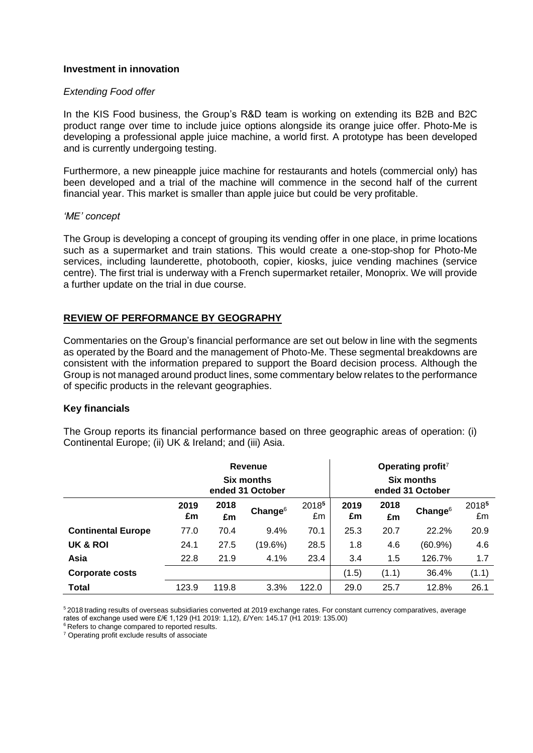# **Investment in innovation**

### *Extending Food offer*

In the KIS Food business, the Group's R&D team is working on extending its B2B and B2C product range over time to include juice options alongside its orange juice offer. Photo-Me is developing a professional apple juice machine, a world first. A prototype has been developed and is currently undergoing testing.

Furthermore, a new pineapple juice machine for restaurants and hotels (commercial only) has been developed and a trial of the machine will commence in the second half of the current financial year. This market is smaller than apple juice but could be very profitable.

### *'ME' concept*

The Group is developing a concept of grouping its vending offer in one place, in prime locations such as a supermarket and train stations. This would create a one-stop-shop for Photo-Me services, including launderette, photobooth, copier, kiosks, juice vending machines (service centre). The first trial is underway with a French supermarket retailer, Monoprix. We will provide a further update on the trial in due course.

# **REVIEW OF PERFORMANCE BY GEOGRAPHY**

Commentaries on the Group's financial performance are set out below in line with the segments as operated by the Board and the management of Photo-Me. These segmental breakdowns are consistent with the information prepared to support the Board decision process. Although the Group is not managed around product lines, some commentary below relates to the performance of specific products in the relevant geographies.

### **Key financials**

The Group reports its financial performance based on three geographic areas of operation: (i) Continental Europe; (ii) UK & Ireland; and (iii) Asia.

|                           | Revenue<br>Six months<br>ended 31 October |       |            | Operating profit <sup>7</sup> |       |                                       |            |       |
|---------------------------|-------------------------------------------|-------|------------|-------------------------------|-------|---------------------------------------|------------|-------|
|                           |                                           |       |            |                               |       | <b>Six months</b><br>ended 31 October |            |       |
|                           | 2019                                      | 2018  | Change $6$ | 20185                         | 2019  | 2018                                  | Change $6$ | 20185 |
|                           | £m                                        | £m    |            | £m                            | £m    | £m                                    |            | £m    |
| <b>Continental Europe</b> | 77.0                                      | 70.4  | 9.4%       | 70.1                          | 25.3  | 20.7                                  | 22.2%      | 20.9  |
| UK & ROI                  | 24.1                                      | 27.5  | (19.6%)    | 28.5                          | 1.8   | 4.6                                   | $(60.9\%)$ | 4.6   |
| Asia                      | 22.8                                      | 21.9  | 4.1%       | 23.4                          | 3.4   | 1.5                                   | 126.7%     | 1.7   |
| <b>Corporate costs</b>    |                                           |       |            |                               | (1.5) | (1.1)                                 | 36.4%      | (1.1) |
| <b>Total</b>              | 123.9                                     | 119.8 | 3.3%       | 122.0                         | 29.0  | 25.7                                  | 12.8%      | 26.1  |

<sup>5</sup> 2018 trading results of overseas subsidiaries converted at 2019 exchange rates. For constant currency comparatives, average rates of exchange used were £/€ 1,129 (H1 2019: 1,12), £/Yen: 145.17 (H1 2019: 135.00)

<sup>6</sup> Refers to change compared to reported results.

<sup>7</sup> Operating profit exclude results of associate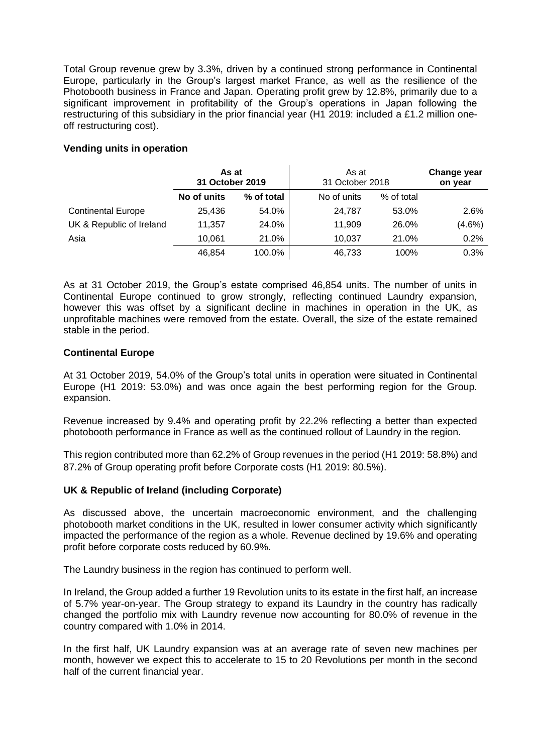Total Group revenue grew by 3.3%, driven by a continued strong performance in Continental Europe, particularly in the Group's largest market France, as well as the resilience of the Photobooth business in France and Japan. Operating profit grew by 12.8%, primarily due to a significant improvement in profitability of the Group's operations in Japan following the restructuring of this subsidiary in the prior financial year (H1 2019: included a £1.2 million oneoff restructuring cost).

# **Vending units in operation**

|                           | As at<br>31 October 2019 |            | As at<br>31 October 2018 |            | Change year<br>on year |
|---------------------------|--------------------------|------------|--------------------------|------------|------------------------|
|                           | No of units              | % of total | No of units              | % of total |                        |
| <b>Continental Europe</b> | 25,436                   | 54.0%      | 24,787                   | 53.0%      | 2.6%                   |
| UK & Republic of Ireland  | 11.357                   | 24.0%      | 11,909                   | 26.0%      | $(4.6\%)$              |
| Asia                      | 10.061                   | 21.0%      | 10.037                   | 21.0%      | 0.2%                   |
|                           | 46.854                   | 100.0%     | 46,733                   | 100%       | 0.3%                   |

As at 31 October 2019, the Group's estate comprised 46,854 units. The number of units in Continental Europe continued to grow strongly, reflecting continued Laundry expansion, however this was offset by a significant decline in machines in operation in the UK, as unprofitable machines were removed from the estate. Overall, the size of the estate remained stable in the period.

# **Continental Europe**

At 31 October 2019, 54.0% of the Group's total units in operation were situated in Continental Europe (H1 2019: 53.0%) and was once again the best performing region for the Group. expansion.

Revenue increased by 9.4% and operating profit by 22.2% reflecting a better than expected photobooth performance in France as well as the continued rollout of Laundry in the region.

This region contributed more than 62.2% of Group revenues in the period (H1 2019: 58.8%) and 87.2% of Group operating profit before Corporate costs (H1 2019: 80.5%).

# **UK & Republic of Ireland (including Corporate)**

As discussed above, the uncertain macroeconomic environment, and the challenging photobooth market conditions in the UK, resulted in lower consumer activity which significantly impacted the performance of the region as a whole. Revenue declined by 19.6% and operating profit before corporate costs reduced by 60.9%.

The Laundry business in the region has continued to perform well.

In Ireland, the Group added a further 19 Revolution units to its estate in the first half, an increase of 5.7% year-on-year. The Group strategy to expand its Laundry in the country has radically changed the portfolio mix with Laundry revenue now accounting for 80.0% of revenue in the country compared with 1.0% in 2014.

In the first half, UK Laundry expansion was at an average rate of seven new machines per month, however we expect this to accelerate to 15 to 20 Revolutions per month in the second half of the current financial year.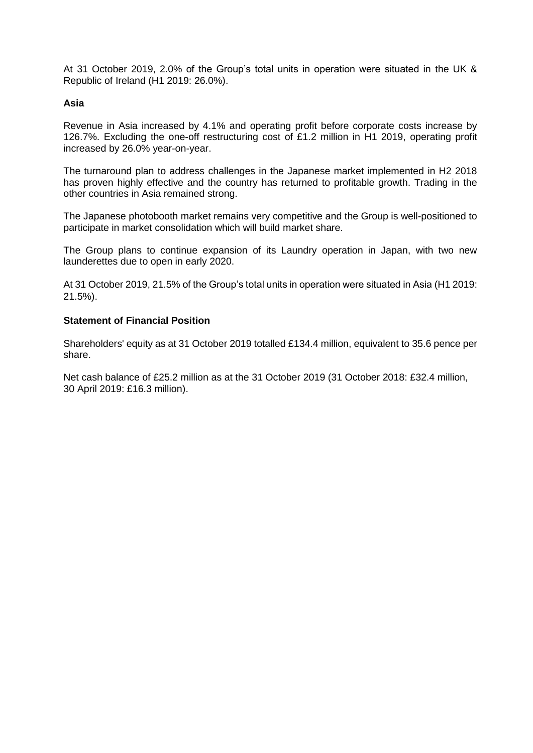At 31 October 2019, 2.0% of the Group's total units in operation were situated in the UK & Republic of Ireland (H1 2019: 26.0%).

# **Asia**

Revenue in Asia increased by 4.1% and operating profit before corporate costs increase by 126.7%. Excluding the one-off restructuring cost of £1.2 million in H1 2019, operating profit increased by 26.0% year-on-year.

The turnaround plan to address challenges in the Japanese market implemented in H2 2018 has proven highly effective and the country has returned to profitable growth. Trading in the other countries in Asia remained strong.

The Japanese photobooth market remains very competitive and the Group is well-positioned to participate in market consolidation which will build market share.

The Group plans to continue expansion of its Laundry operation in Japan, with two new launderettes due to open in early 2020.

At 31 October 2019, 21.5% of the Group's total units in operation were situated in Asia (H1 2019: 21.5%).

### **Statement of Financial Position**

Shareholders' equity as at 31 October 2019 totalled £134.4 million, equivalent to 35.6 pence per share.

Net cash balance of £25.2 million as at the 31 October 2019 (31 October 2018: £32.4 million, 30 April 2019: £16.3 million).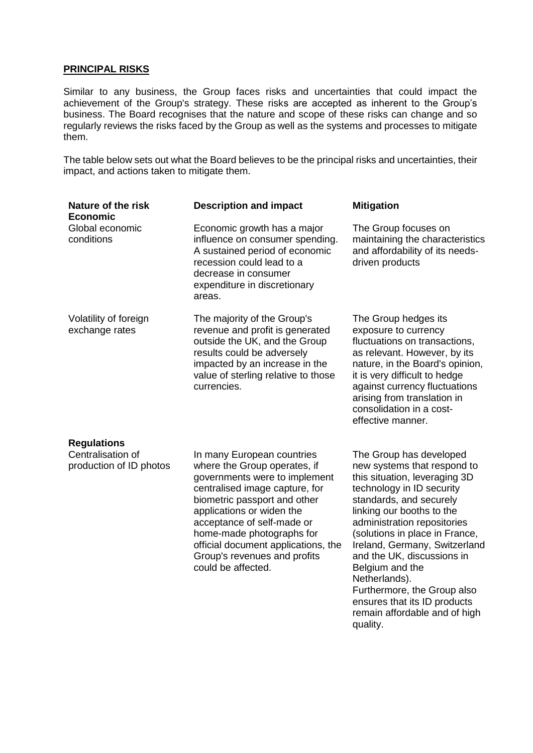# **PRINCIPAL RISKS**

Similar to any business, the Group faces risks and uncertainties that could impact the achievement of the Group's strategy. These risks are accepted as inherent to the Group's business. The Board recognises that the nature and scope of these risks can change and so regularly reviews the risks faced by the Group as well as the systems and processes to mitigate them.

The table below sets out what the Board believes to be the principal risks and uncertainties, their impact, and actions taken to mitigate them.

| Nature of the risk<br><b>Economic</b>                              | <b>Description and impact</b>                                                                                                                                                                                                                                                                                                                      | <b>Mitigation</b>                                                                                                                                                                                                                                                                                                                                                                                                                                            |
|--------------------------------------------------------------------|----------------------------------------------------------------------------------------------------------------------------------------------------------------------------------------------------------------------------------------------------------------------------------------------------------------------------------------------------|--------------------------------------------------------------------------------------------------------------------------------------------------------------------------------------------------------------------------------------------------------------------------------------------------------------------------------------------------------------------------------------------------------------------------------------------------------------|
| Global economic<br>conditions                                      | Economic growth has a major<br>influence on consumer spending.<br>A sustained period of economic<br>recession could lead to a<br>decrease in consumer<br>expenditure in discretionary<br>areas.                                                                                                                                                    | The Group focuses on<br>maintaining the characteristics<br>and affordability of its needs-<br>driven products                                                                                                                                                                                                                                                                                                                                                |
| Volatility of foreign<br>exchange rates                            | The majority of the Group's<br>revenue and profit is generated<br>outside the UK, and the Group<br>results could be adversely<br>impacted by an increase in the<br>value of sterling relative to those<br>currencies.                                                                                                                              | The Group hedges its<br>exposure to currency<br>fluctuations on transactions,<br>as relevant. However, by its<br>nature, in the Board's opinion,<br>it is very difficult to hedge<br>against currency fluctuations<br>arising from translation in<br>consolidation in a cost-<br>effective manner.                                                                                                                                                           |
| <b>Regulations</b><br>Centralisation of<br>production of ID photos | In many European countries<br>where the Group operates, if<br>governments were to implement<br>centralised image capture, for<br>biometric passport and other<br>applications or widen the<br>acceptance of self-made or<br>home-made photographs for<br>official document applications, the<br>Group's revenues and profits<br>could be affected. | The Group has developed<br>new systems that respond to<br>this situation, leveraging 3D<br>technology in ID security<br>standards, and securely<br>linking our booths to the<br>administration repositories<br>(solutions in place in France,<br>Ireland, Germany, Switzerland<br>and the UK, discussions in<br>Belgium and the<br>Netherlands).<br>Furthermore, the Group also<br>ensures that its ID products<br>remain affordable and of high<br>quality. |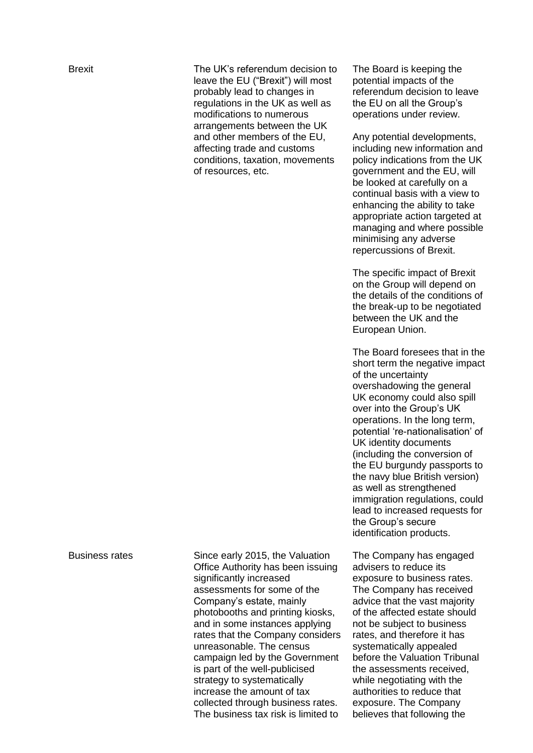Brexit The UK's referendum decision to leave the EU ("Brexit") will most probably lead to changes in regulations in the UK as well as modifications to numerous arrangements between the UK and other members of the EU, affecting trade and customs conditions, taxation, movements of resources, etc.

The Board is keeping the potential impacts of the referendum decision to leave the EU on all the Group's operations under review.

Any potential developments, including new information and policy indications from the UK government and the EU, will be looked at carefully on a continual basis with a view to enhancing the ability to take appropriate action targeted at managing and where possible minimising any adverse repercussions of Brexit.

The specific impact of Brexit on the Group will depend on the details of the conditions of the break-up to be negotiated between the UK and the European Union.

The Board foresees that in the short term the negative impact of the uncertainty overshadowing the general UK economy could also spill over into the Group's UK operations. In the long term, potential 're-nationalisation' of UK identity documents (including the conversion of the EU burgundy passports to the navy blue British version) as well as strengthened immigration regulations, could lead to increased requests for the Group's secure identification products.

The Company has engaged advisers to reduce its exposure to business rates. The Company has received advice that the vast majority of the affected estate should not be subject to business rates, and therefore it has systematically appealed before the Valuation Tribunal the assessments received, while negotiating with the authorities to reduce that exposure. The Company believes that following the

Business rates Since early 2015, the Valuation Office Authority has been issuing significantly increased assessments for some of the Company's estate, mainly photobooths and printing kiosks, and in some instances applying rates that the Company considers unreasonable. The census campaign led by the Government is part of the well-publicised strategy to systematically increase the amount of tax collected through business rates. The business tax risk is limited to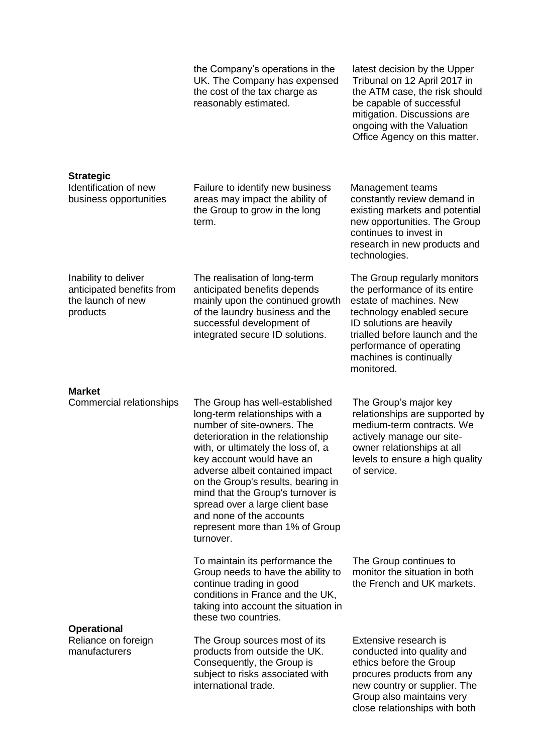|                                                                                    | the Company's operations in the<br>UK. The Company has expensed<br>the cost of the tax charge as<br>reasonably estimated.                                                                                                                                                                                                                                                                                                           | latest decision by the Upper<br>Tribunal on 12 April 2017 in<br>the ATM case, the risk should<br>be capable of successful<br>mitigation. Discussions are<br>ongoing with the Valuation<br>Office Agency on this matter.                                  |
|------------------------------------------------------------------------------------|-------------------------------------------------------------------------------------------------------------------------------------------------------------------------------------------------------------------------------------------------------------------------------------------------------------------------------------------------------------------------------------------------------------------------------------|----------------------------------------------------------------------------------------------------------------------------------------------------------------------------------------------------------------------------------------------------------|
| <b>Strategic</b><br>Identification of new<br>business opportunities                | Failure to identify new business<br>areas may impact the ability of<br>the Group to grow in the long<br>term.                                                                                                                                                                                                                                                                                                                       | Management teams<br>constantly review demand in<br>existing markets and potential<br>new opportunities. The Group<br>continues to invest in<br>research in new products and<br>technologies.                                                             |
| Inability to deliver<br>anticipated benefits from<br>the launch of new<br>products | The realisation of long-term<br>anticipated benefits depends<br>mainly upon the continued growth<br>of the laundry business and the<br>successful development of<br>integrated secure ID solutions.                                                                                                                                                                                                                                 | The Group regularly monitors<br>the performance of its entire<br>estate of machines. New<br>technology enabled secure<br>ID solutions are heavily<br>trialled before launch and the<br>performance of operating<br>machines is continually<br>monitored. |
| <b>Market</b><br>Commercial relationships                                          | The Group has well-established<br>long-term relationships with a<br>number of site-owners. The<br>deterioration in the relationship<br>with, or ultimately the loss of, a<br>key account would have an<br>adverse albeit contained impact<br>on the Group's results, bearing in<br>mind that the Group's turnover is<br>spread over a large client base<br>and none of the accounts<br>represent more than 1% of Group<br>turnover. | The Group's major key<br>relationships are supported by<br>medium-term contracts. We<br>actively manage our site-<br>owner relationships at all<br>levels to ensure a high quality<br>of service.                                                        |
|                                                                                    | To maintain its performance the<br>Group needs to have the ability to<br>continue trading in good<br>conditions in France and the UK,<br>taking into account the situation in<br>these two countries.                                                                                                                                                                                                                               | The Group continues to<br>monitor the situation in both<br>the French and UK markets.                                                                                                                                                                    |
| <b>Operational</b><br>Reliance on foreign<br>manufacturers                         | The Group sources most of its<br>products from outside the UK.<br>Consequently, the Group is<br>subject to risks associated with<br>international trade.                                                                                                                                                                                                                                                                            | Extensive research is<br>conducted into quality and<br>ethics before the Group<br>procures products from any<br>new country or supplier. The<br>Group also maintains very<br>close relationships with both                                               |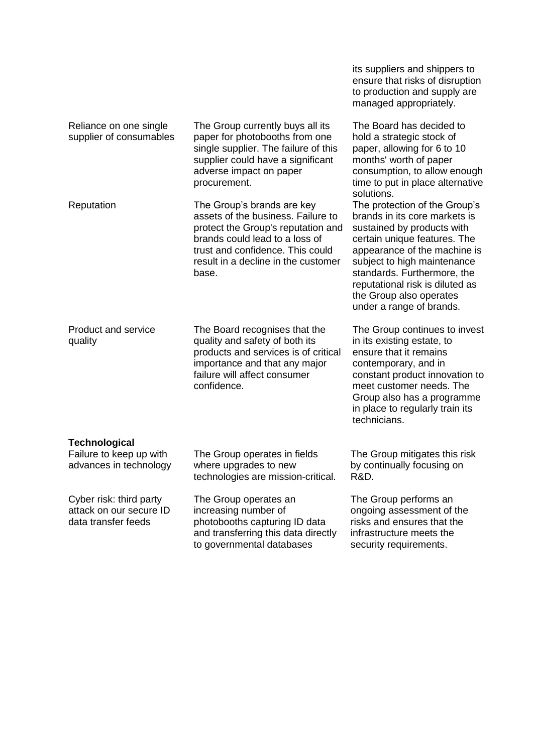|                                                                           |                                                                                                                                                                                                                              | its suppliers and shippers to<br>ensure that risks of disruption<br>to production and supply are<br>managed appropriately.                                                                                                                                                                                           |
|---------------------------------------------------------------------------|------------------------------------------------------------------------------------------------------------------------------------------------------------------------------------------------------------------------------|----------------------------------------------------------------------------------------------------------------------------------------------------------------------------------------------------------------------------------------------------------------------------------------------------------------------|
| Reliance on one single<br>supplier of consumables                         | The Group currently buys all its<br>paper for photobooths from one<br>single supplier. The failure of this<br>supplier could have a significant<br>adverse impact on paper<br>procurement.                                   | The Board has decided to<br>hold a strategic stock of<br>paper, allowing for 6 to 10<br>months' worth of paper<br>consumption, to allow enough<br>time to put in place alternative<br>solutions.                                                                                                                     |
| Reputation                                                                | The Group's brands are key<br>assets of the business. Failure to<br>protect the Group's reputation and<br>brands could lead to a loss of<br>trust and confidence. This could<br>result in a decline in the customer<br>base. | The protection of the Group's<br>brands in its core markets is<br>sustained by products with<br>certain unique features. The<br>appearance of the machine is<br>subject to high maintenance<br>standards. Furthermore, the<br>reputational risk is diluted as<br>the Group also operates<br>under a range of brands. |
| <b>Product and service</b><br>quality                                     | The Board recognises that the<br>quality and safety of both its<br>products and services is of critical<br>importance and that any major<br>failure will affect consumer<br>confidence.                                      | The Group continues to invest<br>in its existing estate, to<br>ensure that it remains<br>contemporary, and in<br>constant product innovation to<br>meet customer needs. The<br>Group also has a programme<br>in place to regularly train its<br>technicians.                                                         |
| <b>Technological</b><br>Failure to keep up with<br>advances in technology | The Group operates in fields<br>where upgrades to new<br>technologies are mission-critical.                                                                                                                                  | The Group mitigates this risk<br>by continually focusing on<br>R&D.                                                                                                                                                                                                                                                  |
| Cyber risk: third party<br>attack on our secure ID<br>data transfer feeds | The Group operates an<br>increasing number of<br>photobooths capturing ID data<br>and transferring this data directly<br>to governmental databases                                                                           | The Group performs an<br>ongoing assessment of the<br>risks and ensures that the<br>infrastructure meets the<br>security requirements.                                                                                                                                                                               |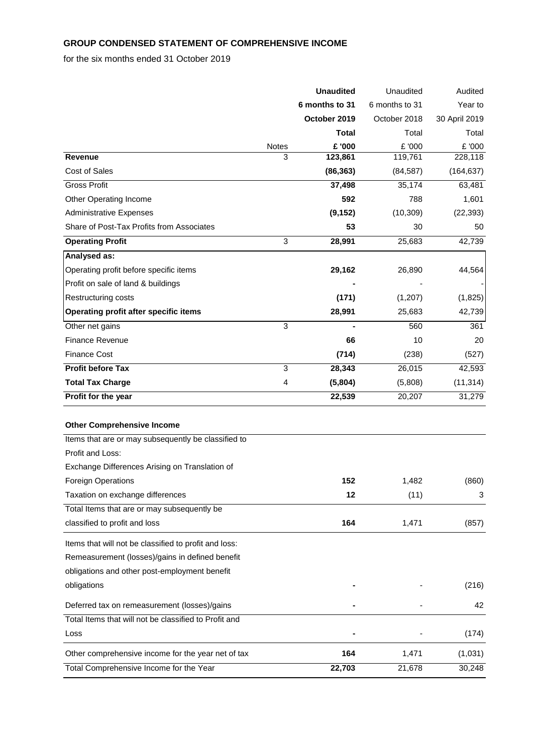# **GROUP CONDENSED STATEMENT OF COMPREHENSIVE INCOME**

# for the six months ended 31 October 2019

|                                                       |       | <b>Unaudited</b> | Unaudited      | Audited       |
|-------------------------------------------------------|-------|------------------|----------------|---------------|
|                                                       |       | 6 months to 31   | 6 months to 31 | Year to       |
|                                                       |       | October 2019     | October 2018   | 30 April 2019 |
|                                                       |       | Total            | Total          | Total         |
|                                                       | Notes | £ '000           | £ '000         | £ '000        |
| <b>Revenue</b>                                        | 3     | 123,861          | 119,761        | 228,118       |
| <b>Cost of Sales</b>                                  |       | (86, 363)        | (84, 587)      | (164, 637)    |
| <b>Gross Profit</b>                                   |       | 37,498           | 35,174         | 63,481        |
| Other Operating Income                                |       | 592              | 788            | 1,601         |
| <b>Administrative Expenses</b>                        |       | (9, 152)         | (10, 309)      | (22, 393)     |
| Share of Post-Tax Profits from Associates             |       | 53               | 30             | 50            |
| <b>Operating Profit</b>                               | 3     | 28,991           | 25,683         | 42,739        |
| Analysed as:                                          |       |                  |                |               |
| Operating profit before specific items                |       | 29,162           | 26,890         | 44,564        |
| Profit on sale of land & buildings                    |       |                  |                |               |
| <b>Restructuring costs</b>                            |       | (171)            | (1,207)        | (1,825)       |
| Operating profit after specific items                 |       | 28,991           | 25,683         | 42,739        |
| Other net gains                                       | 3     |                  | 560            | 361           |
| <b>Finance Revenue</b>                                |       | 66               | 10             | 20            |
| <b>Finance Cost</b>                                   |       | (714)            | (238)          | (527)         |
| <b>Profit before Tax</b>                              | 3     | 28,343           | 26,015         | 42,593        |
| <b>Total Tax Charge</b>                               | 4     | (5,804)          | (5,808)        | (11, 314)     |
| Profit for the year                                   |       | 22,539           | 20,207         | 31,279        |
| <b>Other Comprehensive Income</b>                     |       |                  |                |               |
| Items that are or may subsequently be classified to   |       |                  |                |               |
| Profit and Loss:                                      |       |                  |                |               |
| Exchange Differences Arising on Translation of        |       |                  |                |               |
| Foreign Operations                                    |       | 152              | 1,482          | (860)         |
| Taxation on exchange differences                      |       | 12               | (11)           | 3             |
| Total Items that are or may subsequently be           |       |                  |                |               |
| classified to profit and loss                         |       | 164              | 1,471          | (857)         |
| Items that will not be classified to profit and loss: |       |                  |                |               |
| Remeasurement (losses)/gains in defined benefit       |       |                  |                |               |
| obligations and other post-employment benefit         |       |                  |                |               |
| obligations                                           |       |                  |                | (216)         |
| Deferred tax on remeasurement (losses)/gains          |       |                  |                | 42            |
| Total Items that will not be classified to Profit and |       |                  |                |               |
| Loss                                                  |       |                  |                | (174)         |
| Other comprehensive income for the year net of tax    |       | 164              | 1,471          | (1,031)       |
| Total Comprehensive Income for the Year               |       | 22,703           | 21,678         | 30,248        |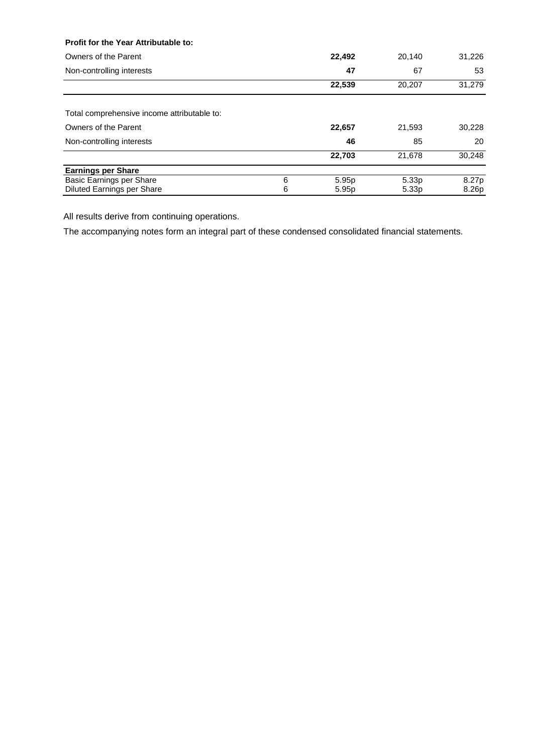#### **Profit for the Year Attributable to:**

| Owners of the Parent                        |   | 22,492            | 20,140            | 31,226 |
|---------------------------------------------|---|-------------------|-------------------|--------|
| Non-controlling interests                   |   | 47                | 67                | 53     |
|                                             |   | 22,539            | 20,207            | 31,279 |
| Total comprehensive income attributable to: |   |                   |                   |        |
|                                             |   |                   |                   |        |
| Owners of the Parent                        |   | 22,657            | 21,593            | 30,228 |
| Non-controlling interests                   |   | 46                | 85                | 20     |
|                                             |   | 22,703            | 21.678            | 30,248 |
| <b>Earnings per Share</b>                   |   |                   |                   |        |
| Basic Earnings per Share                    | 6 | 5.95 <sub>p</sub> | 5.33 <sub>p</sub> | 8.27p  |
| Diluted Earnings per Share                  | 6 | 5.95 <sub>p</sub> | 5.33 <sub>p</sub> | 8.26p  |

All results derive from continuing operations.

The accompanying notes form an integral part of these condensed consolidated financial statements.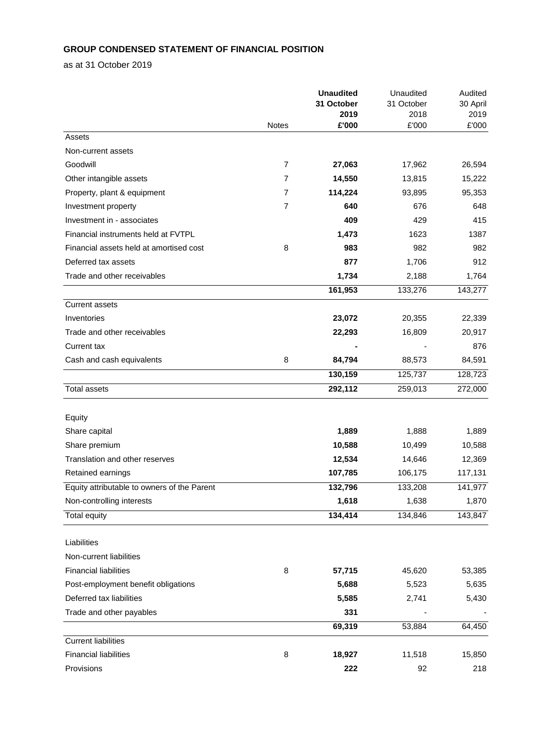# **GROUP CONDENSED STATEMENT OF FINANCIAL POSITION**

as at 31 October 2019

|                                             |                | <b>Unaudited</b> | Unaudited<br>31 October | Audited       |  |
|---------------------------------------------|----------------|------------------|-------------------------|---------------|--|
|                                             |                | 31 October       |                         | 30 April      |  |
|                                             | <b>Notes</b>   | 2019<br>£'000    | 2018<br>£'000           | 2019<br>£'000 |  |
| Assets                                      |                |                  |                         |               |  |
| Non-current assets                          |                |                  |                         |               |  |
| Goodwill                                    | 7              | 27,063           | 17,962                  | 26,594        |  |
| Other intangible assets                     | $\overline{7}$ | 14,550           | 13,815                  | 15,222        |  |
| Property, plant & equipment                 | 7              | 114,224          | 93,895                  | 95,353        |  |
| Investment property                         | $\overline{7}$ | 640              | 676                     | 648           |  |
| Investment in - associates                  |                | 409              | 429                     | 415           |  |
| Financial instruments held at FVTPL         |                | 1,473            | 1623                    | 1387          |  |
| Financial assets held at amortised cost     | 8              | 983              | 982                     | 982           |  |
| Deferred tax assets                         |                | 877              | 1,706                   | 912           |  |
| Trade and other receivables                 |                | 1,734            | 2,188                   | 1,764         |  |
|                                             |                | 161,953          | 133,276                 | 143,277       |  |
| <b>Current assets</b>                       |                |                  |                         |               |  |
| Inventories                                 |                | 23,072           | 20,355                  | 22,339        |  |
| Trade and other receivables                 |                | 22,293           | 16,809                  | 20,917        |  |
| Current tax                                 |                |                  |                         | 876           |  |
| Cash and cash equivalents                   | 8              | 84,794           | 88,573                  | 84,591        |  |
|                                             |                | 130,159          | 125,737                 | 128,723       |  |
| <b>Total assets</b>                         |                | 292,112          | 259,013                 | 272,000       |  |
|                                             |                |                  |                         |               |  |
| Equity                                      |                |                  |                         |               |  |
| Share capital                               |                | 1,889            | 1,888                   | 1,889         |  |
| Share premium                               |                | 10,588           | 10,499                  | 10,588        |  |
| Translation and other reserves              |                | 12,534           | 14,646                  | 12,369        |  |
| Retained earnings                           |                | 107,785          | 106,175                 | 117,131       |  |
| Equity attributable to owners of the Parent |                | 132,796          | 133,208                 | 141,977       |  |
| Non-controlling interests                   |                | 1,618            | 1,638                   | 1,870         |  |
| <b>Total equity</b>                         |                | 134,414          | 134,846                 | 143,847       |  |
|                                             |                |                  |                         |               |  |
| Liabilities                                 |                |                  |                         |               |  |
| Non-current liabilities                     |                |                  |                         |               |  |
| <b>Financial liabilities</b>                | 8              | 57,715           | 45,620                  | 53,385        |  |
| Post-employment benefit obligations         |                | 5,688            | 5,523                   | 5,635         |  |
| Deferred tax liabilities                    |                | 5,585            | 2,741                   | 5,430         |  |
| Trade and other payables                    |                | 331              |                         |               |  |
|                                             |                | 69,319           | 53,884                  | 64,450        |  |
| <b>Current liabilities</b>                  |                |                  |                         |               |  |
| <b>Financial liabilities</b>                | 8              | 18,927           | 11,518                  | 15,850        |  |
| Provisions                                  |                | 222              | 92                      | 218           |  |
|                                             |                |                  |                         |               |  |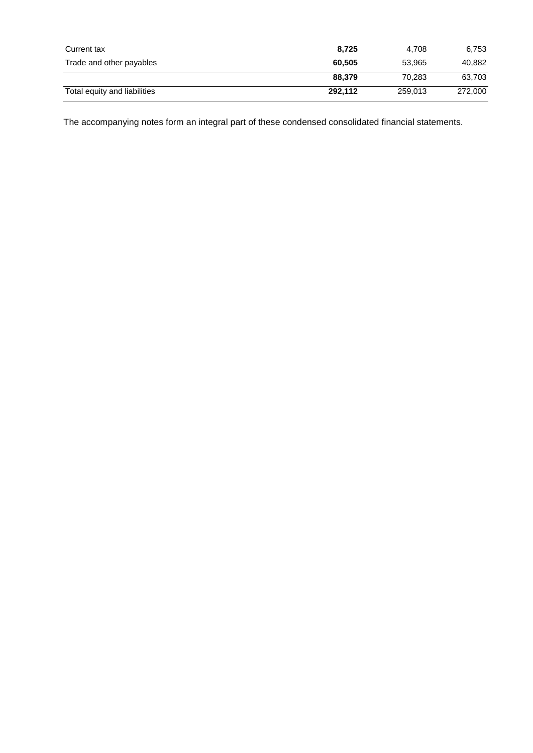| Current tax                  | 8.725   | 4.708   | 6,753   |
|------------------------------|---------|---------|---------|
| Trade and other payables     | 60.505  | 53.965  | 40,882  |
|                              | 88.379  | 70.283  | 63,703  |
| Total equity and liabilities | 292,112 | 259,013 | 272,000 |

The accompanying notes form an integral part of these condensed consolidated financial statements.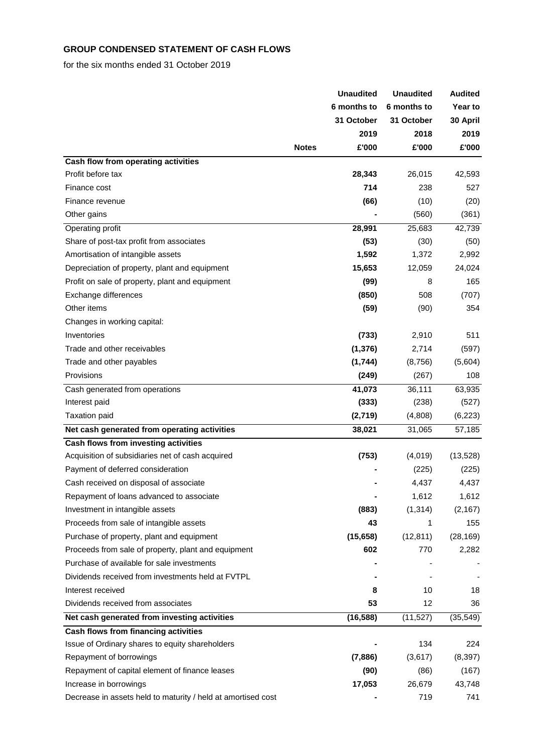# **GROUP CONDENSED STATEMENT OF CASH FLOWS**

for the six months ended 31 October 2019

|                                                              |              | <b>Unaudited</b> | <b>Unaudited</b> | <b>Audited</b> |
|--------------------------------------------------------------|--------------|------------------|------------------|----------------|
|                                                              |              | 6 months to      | 6 months to      | <b>Year to</b> |
|                                                              |              | 31 October       | 31 October       | 30 April       |
|                                                              |              | 2019             | 2018             | 2019           |
|                                                              | <b>Notes</b> | £'000            | £'000            | £'000          |
| Cash flow from operating activities                          |              |                  |                  |                |
| Profit before tax                                            |              | 28,343           | 26,015           | 42,593         |
| Finance cost                                                 |              | 714              | 238              | 527            |
| Finance revenue                                              |              | (66)             | (10)             | (20)           |
| Other gains                                                  |              |                  | (560)            | (361)          |
| Operating profit                                             |              | 28,991           | 25,683           | 42,739         |
| Share of post-tax profit from associates                     |              | (53)             | (30)             | (50)           |
| Amortisation of intangible assets                            |              | 1,592            | 1,372            | 2,992          |
| Depreciation of property, plant and equipment                |              | 15,653           | 12,059           | 24,024         |
| Profit on sale of property, plant and equipment              |              | (99)             | 8                | 165            |
| Exchange differences                                         |              | (850)            | 508              | (707)          |
| Other items                                                  |              | (59)             | (90)             | 354            |
| Changes in working capital:                                  |              |                  |                  |                |
| Inventories                                                  |              | (733)            | 2,910            | 511            |
| Trade and other receivables                                  |              | (1, 376)         | 2,714            | (597)          |
| Trade and other payables                                     |              | (1,744)          | (8,756)          | (5,604)        |
| Provisions                                                   |              | (249)            | (267)            | 108            |
| Cash generated from operations                               |              | 41,073           | 36,111           | 63,935         |
| Interest paid                                                |              | (333)            | (238)            | (527)          |
| <b>Taxation paid</b>                                         |              | (2,719)          | (4,808)          | (6, 223)       |
| Net cash generated from operating activities                 |              | 38,021           | 31,065           | 57,185         |
| Cash flows from investing activities                         |              |                  |                  |                |
| Acquisition of subsidiaries net of cash acquired             |              | (753)            | (4,019)          | (13, 528)      |
| Payment of deferred consideration                            |              |                  | (225)            | (225)          |
| Cash received on disposal of associate                       |              |                  | 4,437            | 4,437          |
| Repayment of loans advanced to associate                     |              |                  | 1,612            | 1,612          |
| Investment in intangible assets                              |              | (883)            | (1, 314)         | (2, 167)       |
| Proceeds from sale of intangible assets                      |              | 43               | 1                | 155            |
| Purchase of property, plant and equipment                    |              | (15, 658)        | (12, 811)        | (28, 169)      |
| Proceeds from sale of property, plant and equipment          |              | 602              | 770              | 2,282          |
| Purchase of available for sale investments                   |              |                  |                  |                |
| Dividends received from investments held at FVTPL            |              |                  |                  |                |
| Interest received                                            |              | 8                | 10               | 18             |
| Dividends received from associates                           |              | 53               | 12               | 36             |
| Net cash generated from investing activities                 |              | (16, 588)        | (11, 527)        | (35, 549)      |
| Cash flows from financing activities                         |              |                  |                  |                |
| Issue of Ordinary shares to equity shareholders              |              |                  | 134              | 224            |
| Repayment of borrowings                                      |              | (7,886)          | (3,617)          | (8, 397)       |
| Repayment of capital element of finance leases               |              | (90)             | (86)             | (167)          |
| Increase in borrowings                                       |              | 17,053           | 26,679           | 43,748         |
| Decrease in assets held to maturity / held at amortised cost |              |                  | 719              | 741            |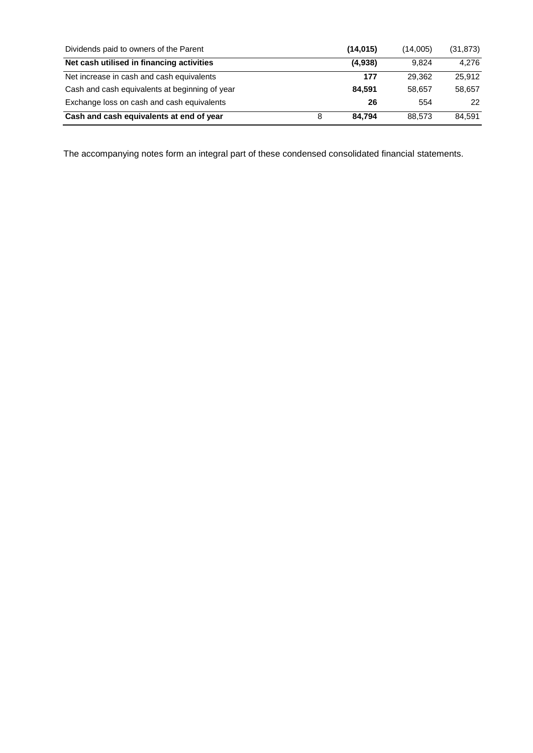| Dividends paid to owners of the Parent         |   | (14, 015) | (14.005) | (31, 873) |
|------------------------------------------------|---|-----------|----------|-----------|
| Net cash utilised in financing activities      |   | (4,938)   | 9.824    | 4.276     |
| Net increase in cash and cash equivalents      |   | 177       | 29.362   | 25.912    |
| Cash and cash equivalents at beginning of year |   | 84.591    | 58.657   | 58,657    |
| Exchange loss on cash and cash equivalents     |   | 26        | 554      | 22        |
| Cash and cash equivalents at end of year       | 8 | 84,794    | 88.573   | 84.591    |

The accompanying notes form an integral part of these condensed consolidated financial statements.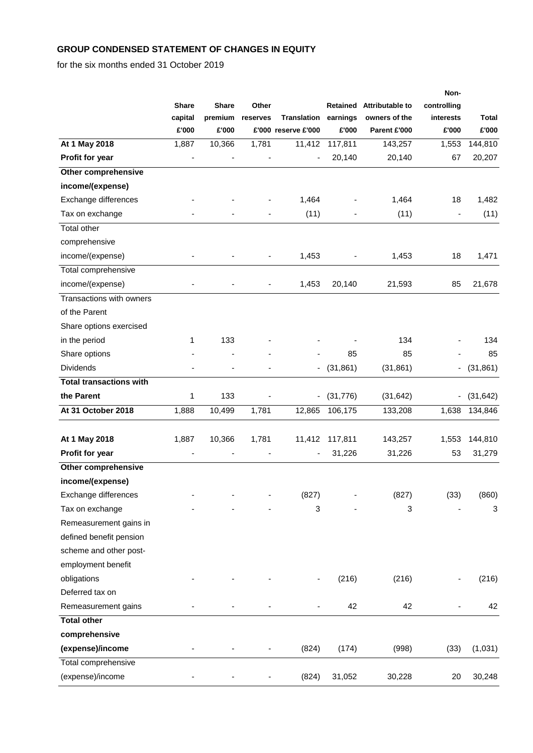# **GROUP CONDENSED STATEMENT OF CHANGES IN EQUITY**

for the six months ended 31 October 2019

|                                |                  |                  |          |                                           |                   |                               | Non-                     |                       |
|--------------------------------|------------------|------------------|----------|-------------------------------------------|-------------------|-------------------------------|--------------------------|-----------------------|
|                                | <b>Share</b>     | <b>Share</b>     | Other    |                                           | Retained          | Attributable to               | controlling              |                       |
|                                | capital<br>£'000 | premium<br>£'000 | reserves | <b>Translation</b><br>£'000 reserve £'000 | earnings<br>£'000 | owners of the<br>Parent £'000 | interests<br>£'000       | <b>Total</b><br>£'000 |
| At 1 May 2018                  | 1,887            | 10,366           | 1,781    | 11,412                                    | 117,811           | 143,257                       | 1,553                    | 144,810               |
| Profit for year                |                  |                  |          |                                           | 20,140            | 20,140                        | 67                       | 20,207                |
| <b>Other comprehensive</b>     |                  |                  |          |                                           |                   |                               |                          |                       |
| income/(expense)               |                  |                  |          |                                           |                   |                               |                          |                       |
| Exchange differences           |                  |                  |          | 1,464                                     |                   | 1,464                         | 18                       | 1,482                 |
| Tax on exchange                |                  |                  |          | (11)                                      |                   | (11)                          | $\overline{\phantom{a}}$ | (11)                  |
| Total other                    |                  |                  |          |                                           |                   |                               |                          |                       |
| comprehensive                  |                  |                  |          |                                           |                   |                               |                          |                       |
| income/(expense)               |                  |                  |          | 1,453                                     |                   | 1,453                         | 18                       | 1,471                 |
| Total comprehensive            |                  |                  |          |                                           |                   |                               |                          |                       |
| income/(expense)               |                  |                  |          | 1,453                                     | 20,140            | 21,593                        | 85                       | 21,678                |
| Transactions with owners       |                  |                  |          |                                           |                   |                               |                          |                       |
| of the Parent                  |                  |                  |          |                                           |                   |                               |                          |                       |
| Share options exercised        |                  |                  |          |                                           |                   |                               |                          |                       |
| in the period                  | 1                | 133              |          |                                           |                   | 134                           |                          | 134                   |
| Share options                  |                  |                  |          |                                           | 85                | 85                            |                          | 85                    |
| <b>Dividends</b>               |                  |                  |          |                                           | (31, 861)         | (31, 861)                     |                          | (31, 861)             |
| <b>Total transactions with</b> |                  |                  |          |                                           |                   |                               |                          |                       |
| the Parent                     | 1                | 133              |          |                                           | (31, 776)         | (31, 642)                     |                          | (31, 642)             |
| At 31 October 2018             | 1,888            | 10,499           | 1,781    | 12,865                                    | 106,175           | 133,208                       | 1,638                    | 134,846               |
|                                |                  |                  |          |                                           |                   |                               |                          |                       |
| At 1 May 2018                  | 1,887            | 10,366           | 1,781    | 11,412                                    | 117,811           | 143,257                       | 1,553                    | 144,810               |
| Profit for year                |                  |                  |          |                                           | 31,226            | 31,226                        | 53                       | 31,279                |
| <b>Other comprehensive</b>     |                  |                  |          |                                           |                   |                               |                          |                       |
| income/(expense)               |                  |                  |          |                                           |                   |                               |                          |                       |
| Exchange differences           |                  |                  |          | (827)                                     |                   | (827)                         | (33)                     | (860)                 |
| Tax on exchange                |                  |                  |          | 3                                         |                   | 3                             |                          | 3                     |
| Remeasurement gains in         |                  |                  |          |                                           |                   |                               |                          |                       |
| defined benefit pension        |                  |                  |          |                                           |                   |                               |                          |                       |
| scheme and other post-         |                  |                  |          |                                           |                   |                               |                          |                       |
| employment benefit             |                  |                  |          |                                           |                   |                               |                          |                       |
| obligations                    |                  |                  |          |                                           | (216)             | (216)                         |                          | (216)                 |
| Deferred tax on                |                  |                  |          |                                           |                   |                               |                          |                       |
| Remeasurement gains            |                  |                  |          |                                           | 42                | 42                            |                          | 42                    |
| <b>Total other</b>             |                  |                  |          |                                           |                   |                               |                          |                       |
| comprehensive                  |                  |                  |          |                                           |                   |                               |                          |                       |
| (expense)/income               |                  |                  |          | (824)                                     | (174)             | (998)                         | (33)                     | (1,031)               |
| Total comprehensive            |                  |                  |          |                                           |                   |                               |                          |                       |
| (expense)/income               |                  |                  |          | (824)                                     | 31,052            | 30,228                        | 20                       | 30,248                |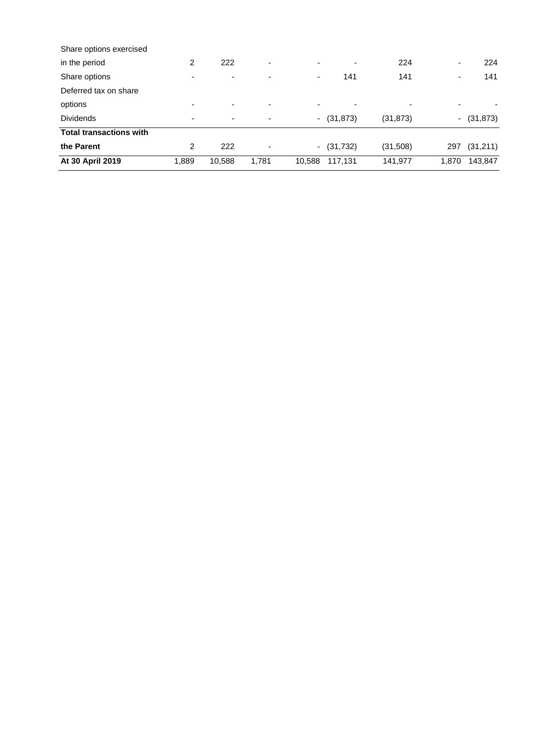| Share options exercised        |                          |                          |                          |        |              |           |                  |  |
|--------------------------------|--------------------------|--------------------------|--------------------------|--------|--------------|-----------|------------------|--|
| in the period                  | 2                        | 222                      | $\overline{\phantom{a}}$ |        |              | 224       | 224<br>۰.        |  |
| Share options                  | $\overline{\phantom{0}}$ | $\overline{\phantom{0}}$ |                          | ۰      | 141          | 141       | 141              |  |
| Deferred tax on share          |                          |                          |                          |        |              |           |                  |  |
| options                        | $\overline{\phantom{0}}$ | $\overline{\phantom{0}}$ | $\overline{\phantom{a}}$ |        |              |           |                  |  |
| <b>Dividends</b>               | ٠                        | ٠                        |                          |        | $-$ (31,873) | (31, 873) | $-$ (31,873)     |  |
| <b>Total transactions with</b> |                          |                          |                          |        |              |           |                  |  |
| the Parent                     | 2                        | 222                      | -                        |        | $-$ (31,732) | (31,508)  | (31,211)<br>297  |  |
| At 30 April 2019               | 1,889                    | 10,588                   | 1,781                    | 10,588 | 117,131      | 141,977   | 1.870<br>143,847 |  |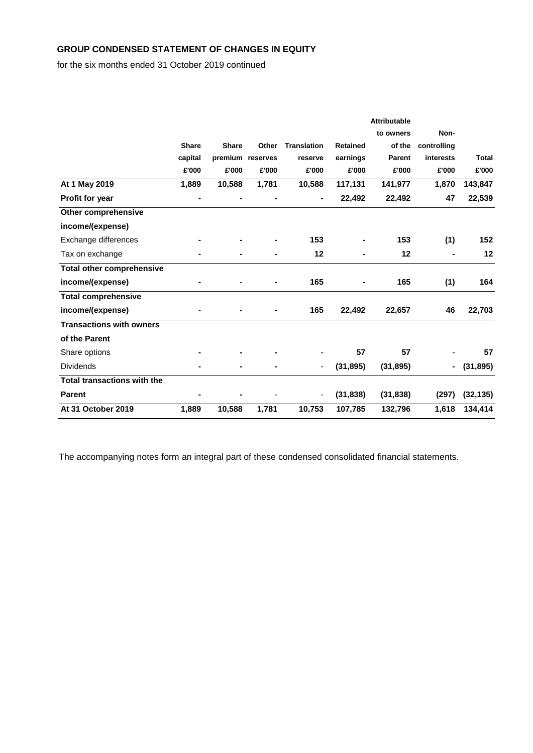# **GROUP CONDENSED STATEMENT OF CHANGES IN EQUITY**

for the six months ended 31 October 2019 continued

|                                  |              |              |                  |                    |                 | <b>Attributable</b> |                |              |
|----------------------------------|--------------|--------------|------------------|--------------------|-----------------|---------------------|----------------|--------------|
|                                  |              |              |                  |                    |                 | to owners           | Non-           |              |
|                                  | <b>Share</b> | <b>Share</b> | Other            | <b>Translation</b> | <b>Retained</b> | of the              | controlling    |              |
|                                  | capital      |              | premium reserves | reserve            | earnings        | Parent              | interests      | <b>Total</b> |
|                                  | £'000        | £'000        | £'000            | £'000              | £'000           | £'000               | £'000          | £'000        |
| At 1 May 2019                    | 1,889        | 10,588       | 1,781            | 10,588             | 117,131         | 141,977             | 1,870          | 143,847      |
| <b>Profit for year</b>           | ۰            |              |                  |                    | 22,492          | 22,492              | 47             | 22,539       |
| <b>Other comprehensive</b>       |              |              |                  |                    |                 |                     |                |              |
| income/(expense)                 |              |              |                  |                    |                 |                     |                |              |
| Exchange differences             |              |              |                  | 153                |                 | 153                 | (1)            | 152          |
| Tax on exchange                  |              |              |                  | 12                 |                 | $12 \,$             | $\blacksquare$ | $12 \,$      |
| <b>Total other comprehensive</b> |              |              |                  |                    |                 |                     |                |              |
| income/(expense)                 |              |              |                  | 165                |                 | 165                 | (1)            | 164          |
| <b>Total comprehensive</b>       |              |              |                  |                    |                 |                     |                |              |
| income/(expense)                 |              |              |                  | 165                | 22,492          | 22,657              | 46             | 22,703       |
| <b>Transactions with owners</b>  |              |              |                  |                    |                 |                     |                |              |
| of the Parent                    |              |              |                  |                    |                 |                     |                |              |
| Share options                    |              |              |                  |                    | 57              | 57                  |                | 57           |
| <b>Dividends</b>                 |              |              |                  |                    | (31, 895)       | (31, 895)           | $\blacksquare$ | (31, 895)    |
| Total transactions with the      |              |              |                  |                    |                 |                     |                |              |
| <b>Parent</b>                    |              |              |                  | ۰                  | (31, 838)       | (31, 838)           | (297)          | (32, 135)    |
| At 31 October 2019               | 1,889        | 10,588       | 1,781            | 10,753             | 107,785         | 132,796             | 1,618          | 134,414      |

The accompanying notes form an integral part of these condensed consolidated financial statements.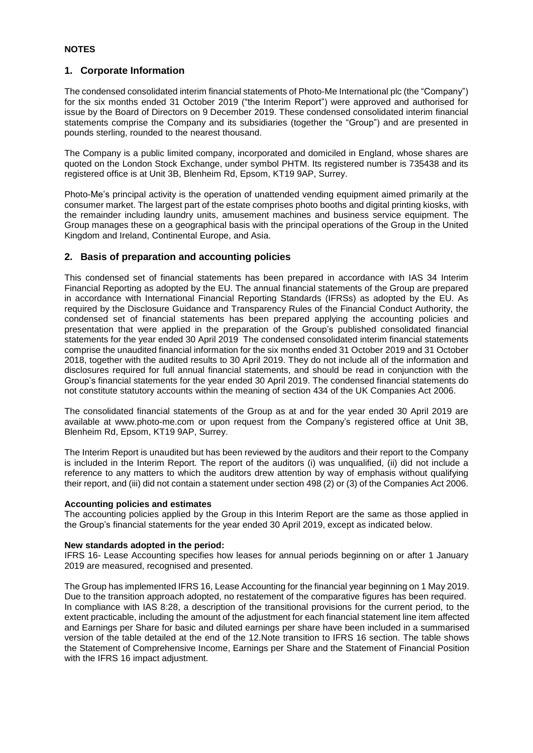### **1. Corporate Information**

The condensed consolidated interim financial statements of Photo-Me International plc (the "Company") for the six months ended 31 October 2019 ("the Interim Report") were approved and authorised for issue by the Board of Directors on 9 December 2019. These condensed consolidated interim financial statements comprise the Company and its subsidiaries (together the "Group") and are presented in pounds sterling, rounded to the nearest thousand.

The Company is a public limited company, incorporated and domiciled in England, whose shares are quoted on the London Stock Exchange, under symbol PHTM. Its registered number is 735438 and its registered office is at Unit 3B, Blenheim Rd, Epsom, KT19 9AP, Surrey.

Photo-Me's principal activity is the operation of unattended vending equipment aimed primarily at the consumer market. The largest part of the estate comprises photo booths and digital printing kiosks, with the remainder including laundry units, amusement machines and business service equipment. The Group manages these on a geographical basis with the principal operations of the Group in the United Kingdom and Ireland, Continental Europe, and Asia.

# **2. Basis of preparation and accounting policies**

This condensed set of financial statements has been prepared in accordance with IAS 34 Interim Financial Reporting as adopted by the EU. The annual financial statements of the Group are prepared in accordance with International Financial Reporting Standards (IFRSs) as adopted by the EU. As required by the Disclosure Guidance and Transparency Rules of the Financial Conduct Authority, the condensed set of financial statements has been prepared applying the accounting policies and presentation that were applied in the preparation of the Group's published consolidated financial statements for the year ended 30 April 2019 The condensed consolidated interim financial statements comprise the unaudited financial information for the six months ended 31 October 2019 and 31 October 2018, together with the audited results to 30 April 2019. They do not include all of the information and disclosures required for full annual financial statements, and should be read in conjunction with the Group's financial statements for the year ended 30 April 2019. The condensed financial statements do not constitute statutory accounts within the meaning of section 434 of the UK Companies Act 2006.

The consolidated financial statements of the Group as at and for the year ended 30 April 2019 are available at www.photo-me.com or upon request from the Company's registered office at Unit 3B, Blenheim Rd, Epsom, KT19 9AP, Surrey.

The Interim Report is unaudited but has been reviewed by the auditors and their report to the Company is included in the Interim Report. The report of the auditors (i) was unqualified, (ii) did not include a reference to any matters to which the auditors drew attention by way of emphasis without qualifying their report, and (iii) did not contain a statement under section 498 (2) or (3) of the Companies Act 2006.

#### **Accounting policies and estimates**

The accounting policies applied by the Group in this Interim Report are the same as those applied in the Group's financial statements for the year ended 30 April 2019, except as indicated below.

#### **New standards adopted in the period:**

IFRS 16- Lease Accounting specifies how leases for annual periods beginning on or after 1 January 2019 are measured, recognised and presented.

The Group has implemented IFRS 16, Lease Accounting for the financial year beginning on 1 May 2019. Due to the transition approach adopted, no restatement of the comparative figures has been required. In compliance with IAS 8:28, a description of the transitional provisions for the current period, to the extent practicable, including the amount of the adjustment for each financial statement line item affected and Earnings per Share for basic and diluted earnings per share have been included in a summarised version of the table detailed at the end of the 12.Note transition to IFRS 16 section. The table shows the Statement of Comprehensive Income, Earnings per Share and the Statement of Financial Position with the IFRS 16 impact adjustment.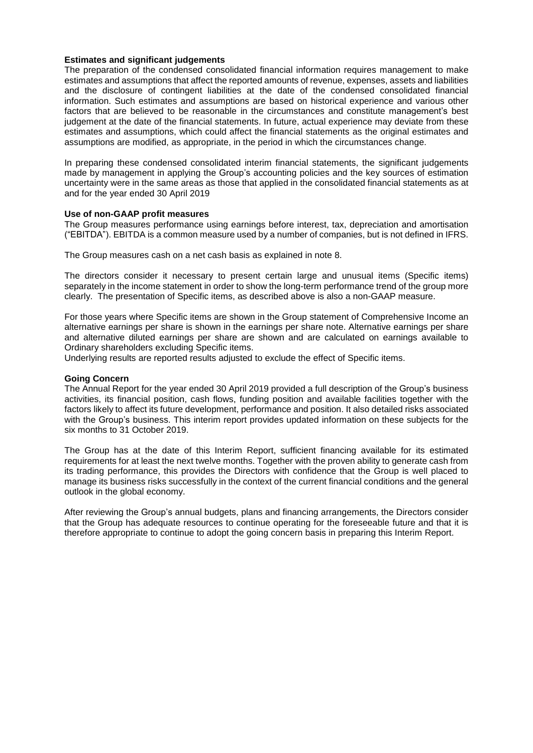#### **Estimates and significant judgements**

The preparation of the condensed consolidated financial information requires management to make estimates and assumptions that affect the reported amounts of revenue, expenses, assets and liabilities and the disclosure of contingent liabilities at the date of the condensed consolidated financial information. Such estimates and assumptions are based on historical experience and various other factors that are believed to be reasonable in the circumstances and constitute management's best judgement at the date of the financial statements. In future, actual experience may deviate from these estimates and assumptions, which could affect the financial statements as the original estimates and assumptions are modified, as appropriate, in the period in which the circumstances change.

In preparing these condensed consolidated interim financial statements, the significant judgements made by management in applying the Group's accounting policies and the key sources of estimation uncertainty were in the same areas as those that applied in the consolidated financial statements as at and for the year ended 30 April 2019

### **Use of non-GAAP profit measures**

The Group measures performance using earnings before interest, tax, depreciation and amortisation ("EBITDA"). EBITDA is a common measure used by a number of companies, but is not defined in IFRS.

The Group measures cash on a net cash basis as explained in note 8.

The directors consider it necessary to present certain large and unusual items (Specific items) separately in the income statement in order to show the long-term performance trend of the group more clearly. The presentation of Specific items, as described above is also a non-GAAP measure.

For those years where Specific items are shown in the Group statement of Comprehensive Income an alternative earnings per share is shown in the earnings per share note. Alternative earnings per share and alternative diluted earnings per share are shown and are calculated on earnings available to Ordinary shareholders excluding Specific items.

Underlying results are reported results adjusted to exclude the effect of Specific items.

#### **Going Concern**

The Annual Report for the year ended 30 April 2019 provided a full description of the Group's business activities, its financial position, cash flows, funding position and available facilities together with the factors likely to affect its future development, performance and position. It also detailed risks associated with the Group's business. This interim report provides updated information on these subjects for the six months to 31 October 2019.

The Group has at the date of this Interim Report, sufficient financing available for its estimated requirements for at least the next twelve months. Together with the proven ability to generate cash from its trading performance, this provides the Directors with confidence that the Group is well placed to manage its business risks successfully in the context of the current financial conditions and the general outlook in the global economy.

After reviewing the Group's annual budgets, plans and financing arrangements, the Directors consider that the Group has adequate resources to continue operating for the foreseeable future and that it is therefore appropriate to continue to adopt the going concern basis in preparing this Interim Report.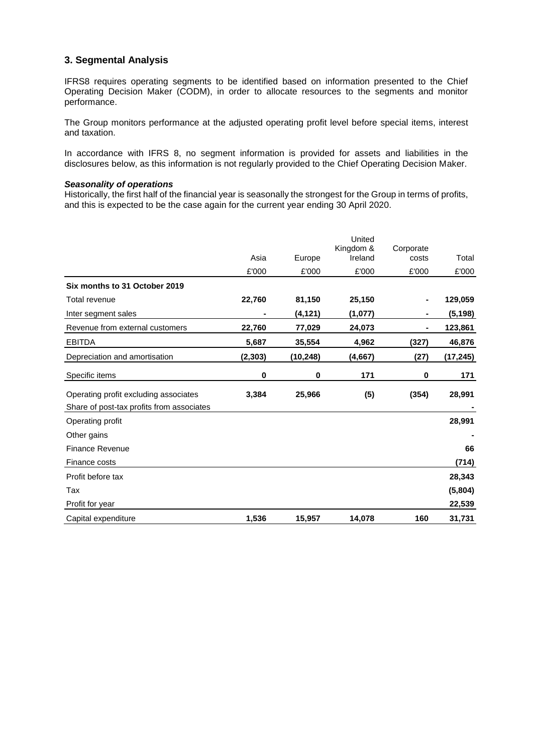# **3. Segmental Analysis**

IFRS8 requires operating segments to be identified based on information presented to the Chief Operating Decision Maker (CODM), in order to allocate resources to the segments and monitor performance.

The Group monitors performance at the adjusted operating profit level before special items, interest and taxation.

In accordance with IFRS 8, no segment information is provided for assets and liabilities in the disclosures below, as this information is not regularly provided to the Chief Operating Decision Maker.

#### *Seasonality of operations*

Historically, the first half of the financial year is seasonally the strongest for the Group in terms of profits, and this is expected to be the case again for the current year ending 30 April 2020.

|                                           | Asia     | Europe    | United<br>Kingdom &<br>Ireland | Corporate<br>costs | Total     |
|-------------------------------------------|----------|-----------|--------------------------------|--------------------|-----------|
|                                           | £'000    | £'000     | £'000                          | £'000              | £'000     |
| Six months to 31 October 2019             |          |           |                                |                    |           |
| Total revenue                             | 22,760   | 81,150    | 25,150                         |                    | 129,059   |
| Inter segment sales                       |          | (4, 121)  | (1,077)                        |                    | (5, 198)  |
| Revenue from external customers           | 22,760   | 77,029    | 24,073                         | $\blacksquare$     | 123,861   |
| <b>EBITDA</b>                             | 5,687    | 35,554    | 4,962                          | (327)              | 46,876    |
| Depreciation and amortisation             | (2, 303) | (10, 248) | (4,667)                        | (27)               | (17, 245) |
| Specific items                            | 0        | 0         | 171                            | 0                  | 171       |
| Operating profit excluding associates     | 3,384    | 25,966    | (5)                            | (354)              | 28,991    |
| Share of post-tax profits from associates |          |           |                                |                    |           |
| Operating profit                          |          |           |                                |                    | 28,991    |
| Other gains                               |          |           |                                |                    |           |
| <b>Finance Revenue</b>                    |          |           |                                |                    | 66        |
| Finance costs                             |          |           |                                |                    | (714)     |
| Profit before tax                         |          |           |                                |                    | 28,343    |
| Tax                                       |          |           |                                |                    | (5,804)   |
| Profit for year                           |          |           |                                |                    | 22,539    |
| Capital expenditure                       | 1,536    | 15,957    | 14,078                         | 160                | 31,731    |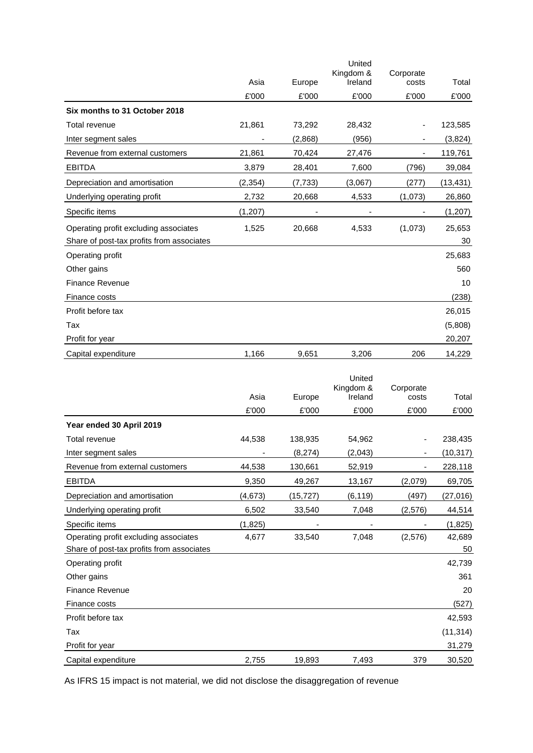|                                           |          |          | United               |                    |           |
|-------------------------------------------|----------|----------|----------------------|--------------------|-----------|
|                                           | Asia     | Europe   | Kingdom &<br>Ireland | Corporate<br>costs | Total     |
|                                           | £'000    |          | £'000                | £'000              |           |
|                                           |          | £'000    |                      |                    | £'000     |
| Six months to 31 October 2018             |          |          |                      |                    |           |
| Total revenue                             | 21,861   | 73,292   | 28,432               |                    | 123,585   |
| Inter segment sales                       |          | (2,868)  | (956)                | ۰                  | (3,824)   |
| Revenue from external customers           | 21,861   | 70,424   | 27,476               |                    | 119,761   |
| <b>EBITDA</b>                             | 3,879    | 28,401   | 7,600                | (796)              | 39,084    |
| Depreciation and amortisation             | (2, 354) | (7, 733) | (3,067)              | (277)              | (13, 431) |
| Underlying operating profit               | 2,732    | 20,668   | 4,533                | (1,073)            | 26,860    |
| Specific items                            | (1, 207) |          |                      |                    | (1, 207)  |
| Operating profit excluding associates     | 1,525    | 20,668   | 4,533                | (1,073)            | 25,653    |
| Share of post-tax profits from associates |          |          |                      |                    | 30        |
| Operating profit                          |          |          |                      |                    | 25,683    |
| Other gains                               |          |          |                      |                    | 560       |
| <b>Finance Revenue</b>                    |          |          |                      |                    | 10        |
| Finance costs                             |          |          |                      |                    | (238)     |
| Profit before tax                         |          |          |                      |                    | 26,015    |
| Tax                                       |          |          |                      |                    | (5,808)   |
| Profit for year                           |          |          |                      |                    | 20,207    |
| Capital expenditure                       | 1,166    | 9,651    | 3,206                | 206                | 14,229    |
|                                           |          |          | المستقلة المرابات    |                    |           |

|                                           |          |          | United<br>Kingdom & | Corporate |           |
|-------------------------------------------|----------|----------|---------------------|-----------|-----------|
|                                           | Asia     | Europe   | Ireland             | costs     | Total     |
|                                           | £'000    | £'000    | £'000               | £'000     | £'000     |
| Year ended 30 April 2019                  |          |          |                     |           |           |
| Total revenue                             | 44,538   | 138,935  | 54,962              |           | 238,435   |
| Inter segment sales                       |          | (8,274)  | (2,043)             |           | (10, 317) |
| Revenue from external customers           | 44,538   | 130,661  | 52,919              |           | 228,118   |
| <b>EBITDA</b>                             | 9,350    | 49,267   | 13,167              | (2,079)   | 69,705    |
| Depreciation and amortisation             | (4, 673) | (15,727) | (6, 119)            | (497)     | (27, 016) |
| Underlying operating profit               | 6,502    | 33,540   | 7,048               | (2,576)   | 44,514    |
| Specific items                            | (1,825)  |          |                     |           | (1, 825)  |
| Operating profit excluding associates     | 4,677    | 33,540   | 7,048               | (2,576)   | 42,689    |
| Share of post-tax profits from associates |          |          |                     |           | 50        |
| Operating profit                          |          |          |                     |           | 42,739    |
| Other gains                               |          |          |                     |           | 361       |
| Finance Revenue                           |          |          |                     |           | 20        |
| Finance costs                             |          |          |                     |           | (527)     |
| Profit before tax                         |          |          |                     |           | 42,593    |
| Tax                                       |          |          |                     |           | (11, 314) |
| Profit for year                           |          |          |                     |           | 31,279    |
| Capital expenditure                       | 2,755    | 19,893   | 7,493               | 379       | 30,520    |

As IFRS 15 impact is not material, we did not disclose the disaggregation of revenue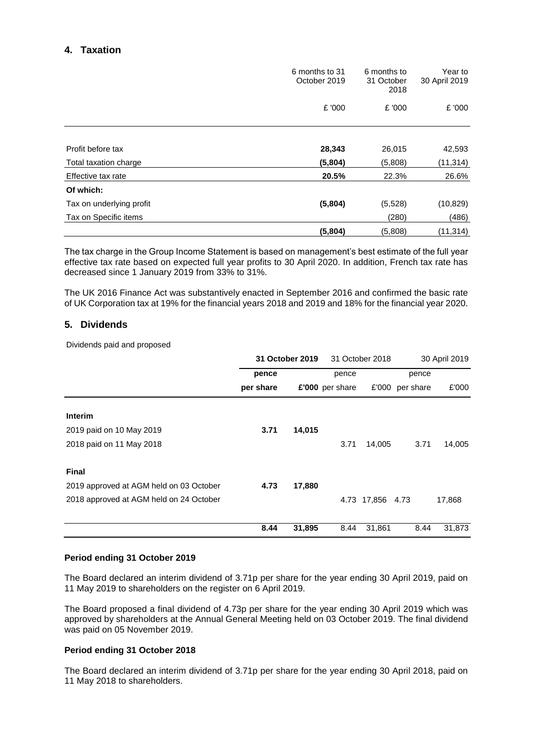# **4. Taxation**

|                          | 6 months to 31<br>October 2019 | 6 months to<br>31 October<br>2018 | Year to<br>30 April 2019 |
|--------------------------|--------------------------------|-----------------------------------|--------------------------|
|                          | £ '000                         | £ '000                            | £ '000                   |
|                          |                                |                                   |                          |
| Profit before tax        | 28,343                         | 26,015                            | 42,593                   |
| Total taxation charge    | (5,804)                        | (5,808)                           | (11, 314)                |
| Effective tax rate       | 20.5%                          | 22.3%                             | 26.6%                    |
| Of which:                |                                |                                   |                          |
| Tax on underlying profit | (5,804)                        | (5,528)                           | (10, 829)                |
| Tax on Specific items    |                                | (280)                             | (486)                    |
|                          | (5,804)                        | (5,808)                           | (11, 314)                |

The tax charge in the Group Income Statement is based on management's best estimate of the full year effective tax rate based on expected full year profits to 30 April 2020. In addition, French tax rate has decreased since 1 January 2019 from 33% to 31%.

The UK 2016 Finance Act was substantively enacted in September 2016 and confirmed the basic rate of UK Corporation tax at 19% for the financial years 2018 and 2019 and 18% for the financial year 2020.

# **5. Dividends**

Dividends paid and proposed

|                                         | 31 October 2019 |        | 31 October 2018 |                  | 30 April 2019   |        |
|-----------------------------------------|-----------------|--------|-----------------|------------------|-----------------|--------|
|                                         | pence           |        | pence           |                  | pence           |        |
|                                         | per share       |        | £'000 per share |                  | £'000 per share | £'000  |
| Interim                                 |                 |        |                 |                  |                 |        |
| 2019 paid on 10 May 2019                | 3.71            | 14,015 |                 |                  |                 |        |
| 2018 paid on 11 May 2018                |                 |        | 3.71            | 14,005           | 3.71            | 14,005 |
| <b>Final</b>                            |                 |        |                 |                  |                 |        |
| 2019 approved at AGM held on 03 October | 4.73            | 17,880 |                 |                  |                 |        |
| 2018 approved at AGM held on 24 October |                 |        |                 | 4.73 17,856 4.73 |                 | 17,868 |
|                                         | 8.44            | 31,895 | 8.44            | 31,861           | 8.44            | 31,873 |

### **Period ending 31 October 2019**

The Board declared an interim dividend of 3.71p per share for the year ending 30 April 2019, paid on 11 May 2019 to shareholders on the register on 6 April 2019.

The Board proposed a final dividend of 4.73p per share for the year ending 30 April 2019 which was approved by shareholders at the Annual General Meeting held on 03 October 2019. The final dividend was paid on 05 November 2019.

### **Period ending 31 October 2018**

The Board declared an interim dividend of 3.71p per share for the year ending 30 April 2018, paid on 11 May 2018 to shareholders.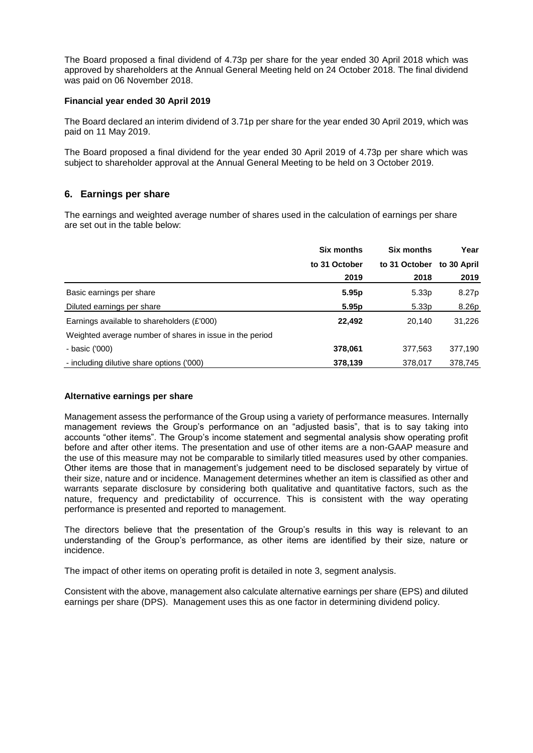The Board proposed a final dividend of 4.73p per share for the year ended 30 April 2018 which was approved by shareholders at the Annual General Meeting held on 24 October 2018. The final dividend was paid on 06 November 2018.

#### **Financial year ended 30 April 2019**

The Board declared an interim dividend of 3.71p per share for the year ended 30 April 2019, which was paid on 11 May 2019.

The Board proposed a final dividend for the year ended 30 April 2019 of 4.73p per share which was subject to shareholder approval at the Annual General Meeting to be held on 3 October 2019.

### **6. Earnings per share**

The earnings and weighted average number of shares used in the calculation of earnings per share are set out in the table below:

|                                                          | <b>Six months</b> | <b>Six months</b> | Year        |
|----------------------------------------------------------|-------------------|-------------------|-------------|
|                                                          | to 31 October     | to 31 October     | to 30 April |
|                                                          | 2019              | 2018              | 2019        |
| Basic earnings per share                                 | 5.95 <sub>p</sub> | 5.33 <sub>p</sub> | 8.27p       |
| Diluted earnings per share                               | 5.95 <sub>p</sub> | 5.33 <sub>p</sub> | 8.26p       |
| Earnings available to shareholders (£'000)               | 22,492            | 20,140            | 31,226      |
| Weighted average number of shares in issue in the period |                   |                   |             |
| - basic ('000)                                           | 378,061           | 377,563           | 377,190     |
| - including dilutive share options ('000)                | 378,139           | 378,017           | 378,745     |

#### **Alternative earnings per share**

Management assess the performance of the Group using a variety of performance measures. Internally management reviews the Group's performance on an "adjusted basis", that is to say taking into accounts "other items". The Group's income statement and segmental analysis show operating profit before and after other items. The presentation and use of other items are a non-GAAP measure and the use of this measure may not be comparable to similarly titled measures used by other companies. Other items are those that in management's judgement need to be disclosed separately by virtue of their size, nature and or incidence. Management determines whether an item is classified as other and warrants separate disclosure by considering both qualitative and quantitative factors, such as the nature, frequency and predictability of occurrence. This is consistent with the way operating performance is presented and reported to management.

The directors believe that the presentation of the Group's results in this way is relevant to an understanding of the Group's performance, as other items are identified by their size, nature or incidence.

The impact of other items on operating profit is detailed in note 3, segment analysis.

Consistent with the above, management also calculate alternative earnings per share (EPS) and diluted earnings per share (DPS). Management uses this as one factor in determining dividend policy.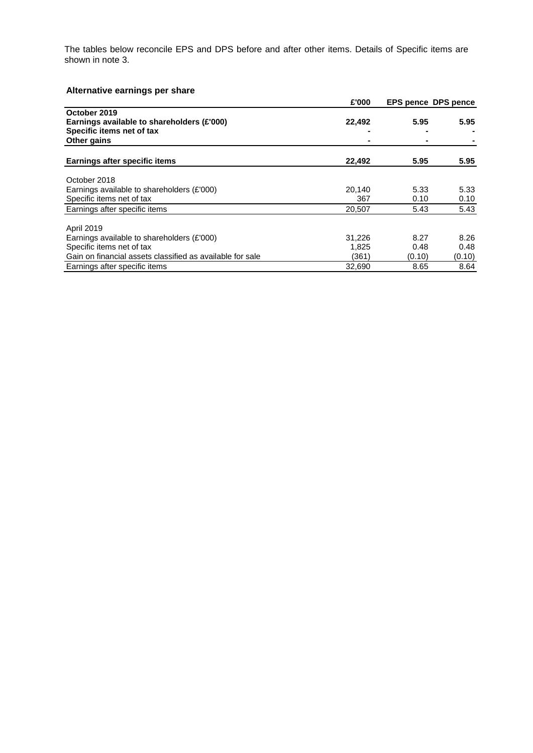The tables below reconcile EPS and DPS before and after other items. Details of Specific items are shown in note 3.

# **Alternative earnings per share**

|                                                           | £'000  |        | <b>EPS pence DPS pence</b> |
|-----------------------------------------------------------|--------|--------|----------------------------|
| October 2019                                              |        |        |                            |
| Earnings available to shareholders (£'000)                | 22,492 | 5.95   | 5.95                       |
| Specific items net of tax                                 |        |        |                            |
| Other gains                                               |        |        |                            |
| Earnings after specific items                             | 22,492 | 5.95   | 5.95                       |
|                                                           |        |        |                            |
| October 2018                                              |        |        |                            |
| Earnings available to shareholders (£'000)                | 20.140 | 5.33   | 5.33                       |
| Specific items net of tax                                 | 367    | 0.10   | 0.10                       |
| Earnings after specific items                             | 20,507 | 5.43   | 5.43                       |
| April 2019                                                |        |        |                            |
| Earnings available to shareholders (£'000)                | 31,226 | 8.27   | 8.26                       |
| Specific items net of tax                                 | 1,825  | 0.48   | 0.48                       |
| Gain on financial assets classified as available for sale | (361)  | (0.10) | (0.10)                     |
| Earnings after specific items                             | 32.690 | 8.65   | 8.64                       |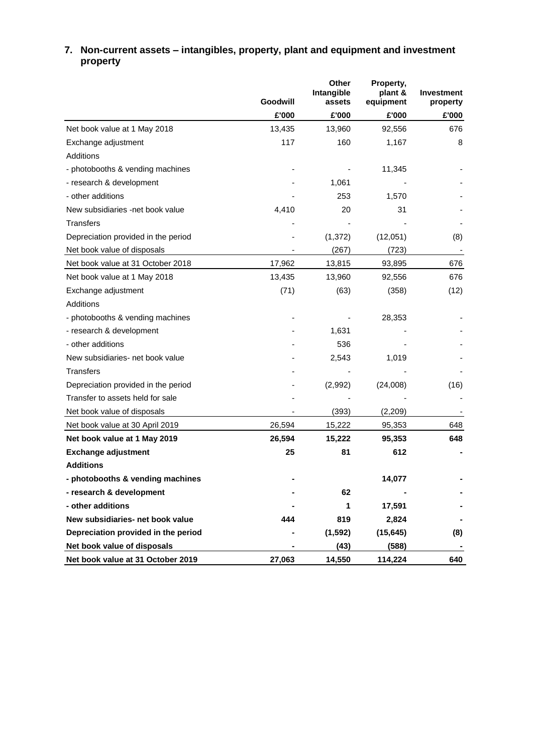|                                     | Goodwill | Other<br>Intangible<br>assets | Property,<br>plant &<br>equipment | <b>Investment</b><br>property |
|-------------------------------------|----------|-------------------------------|-----------------------------------|-------------------------------|
|                                     | £'000    | £'000                         | £'000                             | £'000                         |
| Net book value at 1 May 2018        | 13,435   | 13,960                        | 92,556                            | 676                           |
| Exchange adjustment                 | 117      | 160                           | 1,167                             | 8                             |
| Additions                           |          |                               |                                   |                               |
| - photobooths & vending machines    |          |                               | 11,345                            |                               |
| - research & development            |          | 1,061                         |                                   |                               |
| - other additions                   |          | 253                           | 1,570                             |                               |
| New subsidiaries -net book value    | 4,410    | 20                            | 31                                |                               |
| <b>Transfers</b>                    |          |                               |                                   |                               |
| Depreciation provided in the period |          | (1, 372)                      | (12,051)                          | (8)                           |
| Net book value of disposals         |          | (267)                         | (723)                             |                               |
| Net book value at 31 October 2018   | 17,962   | 13,815                        | 93,895                            | 676                           |
| Net book value at 1 May 2018        | 13,435   | 13,960                        | 92,556                            | 676                           |
| Exchange adjustment                 | (71)     | (63)                          | (358)                             | (12)                          |
| Additions                           |          |                               |                                   |                               |
| - photobooths & vending machines    |          |                               | 28,353                            |                               |
| - research & development            |          | 1,631                         |                                   |                               |
| - other additions                   |          | 536                           |                                   |                               |
| New subsidiaries- net book value    |          | 2,543                         | 1,019                             |                               |
| <b>Transfers</b>                    |          |                               |                                   |                               |
| Depreciation provided in the period |          | (2,992)                       | (24,008)                          | (16)                          |
| Transfer to assets held for sale    |          |                               |                                   |                               |
| Net book value of disposals         |          | (393)                         | (2, 209)                          |                               |
| Net book value at 30 April 2019     | 26,594   | 15,222                        | 95,353                            | 648                           |
| Net book value at 1 May 2019        | 26,594   | 15,222                        | 95,353                            | 648                           |
| <b>Exchange adjustment</b>          | 25       | 81                            | 612                               |                               |
| <b>Additions</b>                    |          |                               |                                   |                               |
| - photobooths & vending machines    |          |                               | 14,077                            |                               |
| - research & development            |          | 62                            |                                   |                               |
| - other additions                   |          | 1                             | 17,591                            |                               |
| New subsidiaries- net book value    | 444      | 819                           | 2,824                             |                               |
| Depreciation provided in the period |          | (1, 592)                      | (15, 645)                         | (8)                           |
| Net book value of disposals         |          | (43)                          | (588)                             |                               |
| Net book value at 31 October 2019   | 27,063   | 14,550                        | 114,224                           | 640                           |

# **7. Non-current assets – intangibles, property, plant and equipment and investment property**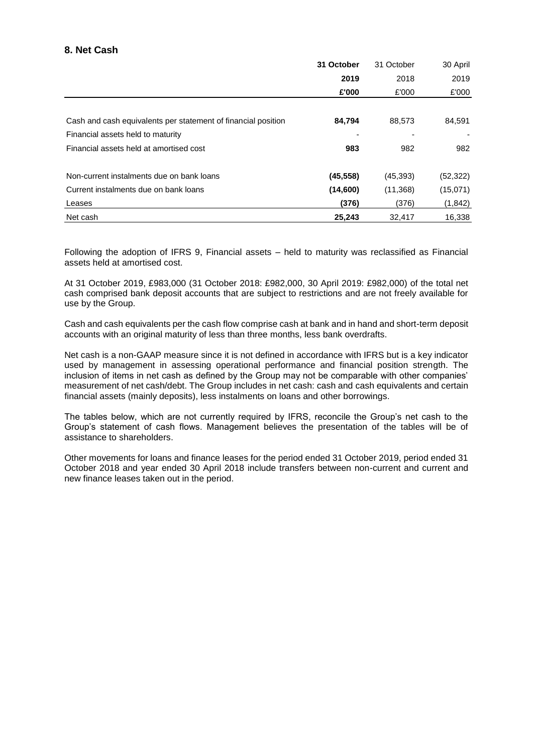# **8. Net Cash**

|                                                               | 31 October | 31 October | 30 April  |
|---------------------------------------------------------------|------------|------------|-----------|
|                                                               | 2019       | 2018       | 2019      |
|                                                               | £'000      | £'000      | £'000     |
|                                                               |            |            |           |
| Cash and cash equivalents per statement of financial position | 84,794     | 88,573     | 84,591    |
| Financial assets held to maturity                             |            |            |           |
| Financial assets held at amortised cost                       | 983        | 982        | 982       |
| Non-current instalments due on bank loans                     | (45, 558)  | (45, 393)  | (52, 322) |
| Current instalments due on bank loans                         | (14,600)   | (11,368)   | (15,071)  |
| Leases                                                        | (376)      | (376)      | (1, 842)  |
| Net cash                                                      | 25,243     | 32.417     | 16,338    |

Following the adoption of IFRS 9, Financial assets – held to maturity was reclassified as Financial assets held at amortised cost.

At 31 October 2019, £983,000 (31 October 2018: £982,000, 30 April 2019: £982,000) of the total net cash comprised bank deposit accounts that are subject to restrictions and are not freely available for use by the Group.

Cash and cash equivalents per the cash flow comprise cash at bank and in hand and short-term deposit accounts with an original maturity of less than three months, less bank overdrafts.

Net cash is a non-GAAP measure since it is not defined in accordance with IFRS but is a key indicator used by management in assessing operational performance and financial position strength. The inclusion of items in net cash as defined by the Group may not be comparable with other companies' measurement of net cash/debt. The Group includes in net cash: cash and cash equivalents and certain financial assets (mainly deposits), less instalments on loans and other borrowings.

The tables below, which are not currently required by IFRS, reconcile the Group's net cash to the Group's statement of cash flows. Management believes the presentation of the tables will be of assistance to shareholders.

Other movements for loans and finance leases for the period ended 31 October 2019, period ended 31 October 2018 and year ended 30 April 2018 include transfers between non-current and current and new finance leases taken out in the period.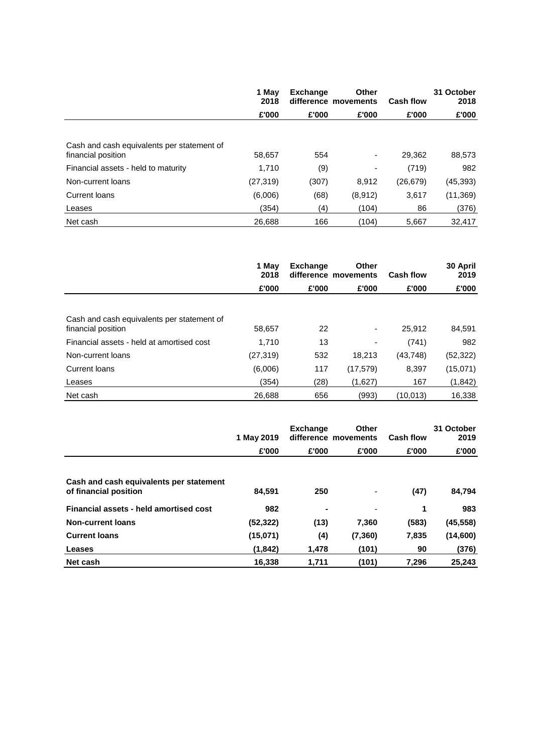|                                                                  | 1 May<br>2018 | <b>Exchange</b> | Other<br>difference movements | <b>Cash flow</b> | 31 October<br>2018 |
|------------------------------------------------------------------|---------------|-----------------|-------------------------------|------------------|--------------------|
|                                                                  | £'000         | £'000           | £'000                         | £'000            | £'000              |
|                                                                  |               |                 |                               |                  |                    |
| Cash and cash equivalents per statement of<br>financial position | 58,657        | 554             | ۰                             | 29.362           | 88,573             |
| Financial assets - held to maturity                              | 1.710         | (9)             | ٠                             | (719)            | 982                |
| Non-current loans                                                | (27, 319)     | (307)           | 8.912                         | (26, 679)        | (45, 393)          |
| Current loans                                                    | (6,006)       | (68)            | (8,912)                       | 3,617            | (11, 369)          |
| Leases                                                           | (354)         | (4)             | (104)                         | 86               | (376)              |
| Net cash                                                         | 26.688        | 166             | (104)                         | 5,667            | 32.417             |

|                                                                  | 1 May<br>2018 | <b>Exchange</b> | <b>Other</b><br>difference movements | <b>Cash flow</b> | 30 April<br>2019 |
|------------------------------------------------------------------|---------------|-----------------|--------------------------------------|------------------|------------------|
|                                                                  | £'000         | £'000           | £'000                                | £'000            | £'000            |
|                                                                  |               |                 |                                      |                  |                  |
| Cash and cash equivalents per statement of<br>financial position | 58,657        | 22              | ۰                                    | 25.912           | 84,591           |
| Financial assets - held at amortised cost                        | 1,710         | 13              | -                                    | (741)            | 982              |
| Non-current loans                                                | (27, 319)     | 532             | 18,213                               | (43, 748)        | (52, 322)        |
| Current loans                                                    | (6,006)       | 117             | (17, 579)                            | 8,397            | (15,071)         |
| Leases                                                           | (354)         | (28)            | (1,627)                              | 167              | (1, 842)         |
| Net cash                                                         | 26,688        | 656             | (993)                                | (10.013)         | 16,338           |

|                                                                  | 1 May 2019 | <b>Exchange</b> | <b>Other</b><br>difference movements | <b>Cash flow</b> | 31 October<br>2019 |
|------------------------------------------------------------------|------------|-----------------|--------------------------------------|------------------|--------------------|
|                                                                  | £'000      | £'000           | £'000                                | £'000            | £'000              |
|                                                                  |            |                 |                                      |                  |                    |
| Cash and cash equivalents per statement<br>of financial position | 84,591     | 250             | $\overline{\phantom{a}}$             | (47)             | 84,794             |
| Financial assets - held amortised cost                           | 982        | $\blacksquare$  | $\overline{\phantom{0}}$             | 1                | 983                |
| <b>Non-current loans</b>                                         | (52, 322)  | (13)            | 7.360                                | (583)            | (45, 558)          |
| <b>Current loans</b>                                             | (15,071)   | (4)             | (7, 360)                             | 7,835            | (14,600)           |
| Leases                                                           | (1, 842)   | 1,478           | (101)                                | 90               | (376)              |
| Net cash                                                         | 16,338     | 1.711           | (101)                                | 7.296            | 25,243             |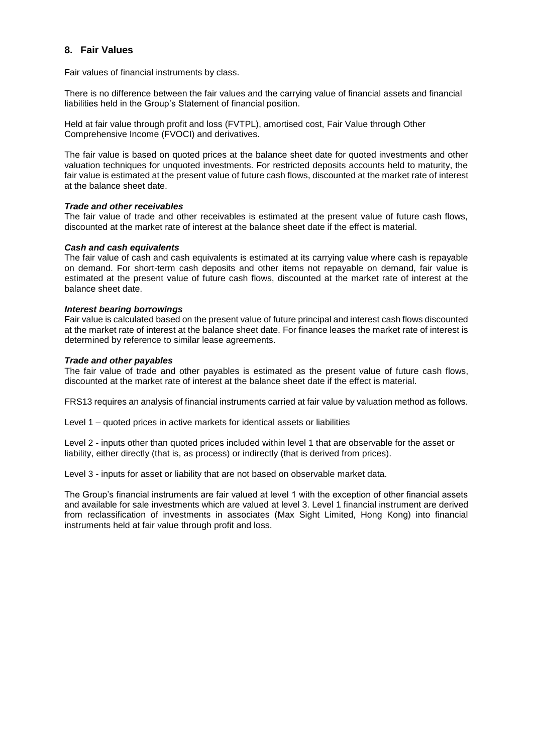# **8. Fair Values**

Fair values of financial instruments by class.

There is no difference between the fair values and the carrying value of financial assets and financial liabilities held in the Group's Statement of financial position.

Held at fair value through profit and loss (FVTPL), amortised cost, Fair Value through Other Comprehensive Income (FVOCI) and derivatives.

The fair value is based on quoted prices at the balance sheet date for quoted investments and other valuation techniques for unquoted investments. For restricted deposits accounts held to maturity, the fair value is estimated at the present value of future cash flows, discounted at the market rate of interest at the balance sheet date.

#### *Trade and other receivables*

The fair value of trade and other receivables is estimated at the present value of future cash flows, discounted at the market rate of interest at the balance sheet date if the effect is material.

#### *Cash and cash equivalents*

The fair value of cash and cash equivalents is estimated at its carrying value where cash is repayable on demand. For short-term cash deposits and other items not repayable on demand, fair value is estimated at the present value of future cash flows, discounted at the market rate of interest at the balance sheet date.

#### *Interest bearing borrowings*

Fair value is calculated based on the present value of future principal and interest cash flows discounted at the market rate of interest at the balance sheet date. For finance leases the market rate of interest is determined by reference to similar lease agreements.

#### *Trade and other payables*

The fair value of trade and other payables is estimated as the present value of future cash flows, discounted at the market rate of interest at the balance sheet date if the effect is material.

FRS13 requires an analysis of financial instruments carried at fair value by valuation method as follows.

Level 1 – quoted prices in active markets for identical assets or liabilities

Level 2 - inputs other than quoted prices included within level 1 that are observable for the asset or liability, either directly (that is, as process) or indirectly (that is derived from prices).

Level 3 - inputs for asset or liability that are not based on observable market data.

The Group's financial instruments are fair valued at level 1 with the exception of other financial assets and available for sale investments which are valued at level 3. Level 1 financial instrument are derived from reclassification of investments in associates (Max Sight Limited, Hong Kong) into financial instruments held at fair value through profit and loss.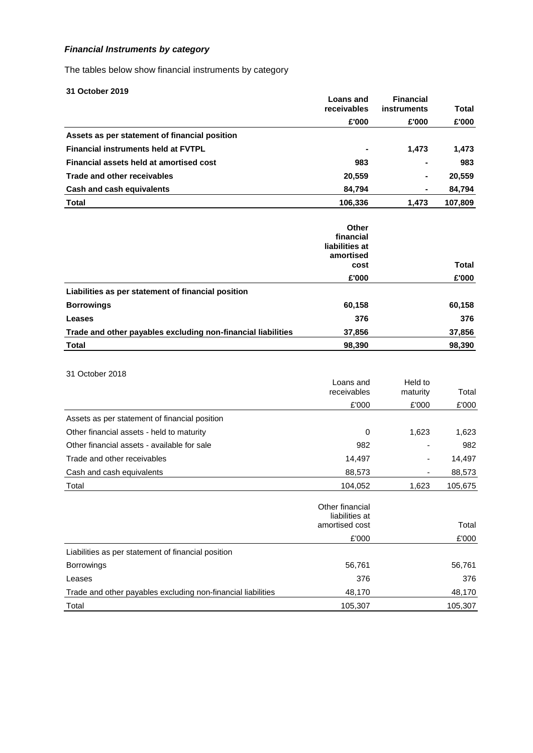# *Financial Instruments by category*

The tables below show financial instruments by category

| 31 October 2019                                              |                                                           |                      |              |
|--------------------------------------------------------------|-----------------------------------------------------------|----------------------|--------------|
|                                                              | <b>Loans and</b><br>receivables                           | <b>Financial</b>     | <b>Total</b> |
|                                                              | £'000                                                     | instruments<br>£'000 | £'000        |
| Assets as per statement of financial position                |                                                           |                      |              |
| <b>Financial instruments held at FVTPL</b>                   |                                                           | 1,473                | 1,473        |
| Financial assets held at amortised cost                      | 983                                                       |                      | 983          |
| <b>Trade and other receivables</b>                           | 20,559                                                    |                      | 20,559       |
| <b>Cash and cash equivalents</b>                             | 84,794                                                    |                      | 84,794       |
| <b>Total</b>                                                 | 106,336                                                   | 1,473                | 107,809      |
|                                                              |                                                           |                      |              |
|                                                              | Other<br>financial<br>liabilities at<br>amortised<br>cost |                      | Total        |
|                                                              | £'000                                                     |                      | £'000        |
| Liabilities as per statement of financial position           |                                                           |                      |              |
| <b>Borrowings</b>                                            | 60,158                                                    |                      | 60,158       |
| Leases                                                       | 376                                                       |                      | 376          |
| Trade and other payables excluding non-financial liabilities | 37,856                                                    |                      | 37,856       |
| <b>Total</b>                                                 | 98,390                                                    |                      | 98,390       |
|                                                              |                                                           |                      |              |
| 31 October 2018                                              | Loans and                                                 | Held to              |              |
|                                                              | receivables                                               | maturity             | Total        |
|                                                              | £'000                                                     | £'000                | £'000        |
| Assets as per statement of financial position                |                                                           |                      |              |
| Other financial assets - held to maturity                    | 0                                                         | 1,623                | 1,623        |
| Other financial assets - available for sale                  | 982                                                       |                      | 982          |
| Trade and other receivables                                  | 14,497                                                    |                      | 14,497       |
| Cash and cash equivalents                                    | 88,573                                                    |                      | 88,573       |
| Total                                                        | 104,052                                                   | 1,623                | 105,675      |
|                                                              | Other financial<br>liabilities at<br>amortised cost       |                      | Total        |
|                                                              | £'000                                                     |                      | £'000        |
| Liabilities as per statement of financial position           |                                                           |                      |              |
| Borrowings                                                   | 56,761                                                    |                      | 56,761       |
| Leases                                                       | 376                                                       |                      | 376          |
| Trade and other payables excluding non-financial liabilities | 48,170                                                    |                      | 48,170       |
| Total                                                        | 105,307                                                   |                      | 105,307      |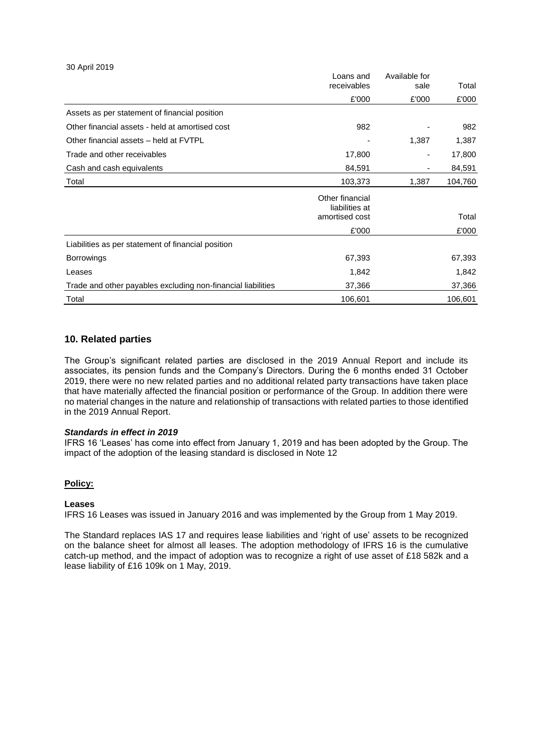#### 30 April 2019

|                                                              | Loans and<br>receivables                            | Available for<br>sale | Total   |
|--------------------------------------------------------------|-----------------------------------------------------|-----------------------|---------|
|                                                              | £'000                                               | £'000                 | £'000   |
| Assets as per statement of financial position                |                                                     |                       |         |
| Other financial assets - held at amortised cost              | 982                                                 |                       | 982     |
| Other financial assets - held at FVTPL                       |                                                     | 1,387                 | 1,387   |
| Trade and other receivables                                  | 17,800                                              | $\overline{a}$        | 17,800  |
| Cash and cash equivalents                                    | 84,591                                              |                       | 84,591  |
| Total                                                        | 103,373                                             | 1,387                 | 104,760 |
|                                                              | Other financial<br>liabilities at<br>amortised cost |                       | Total   |
|                                                              | £'000                                               |                       | £'000   |
| Liabilities as per statement of financial position           |                                                     |                       |         |
| <b>Borrowings</b>                                            | 67,393                                              |                       | 67,393  |
| Leases                                                       | 1,842                                               |                       | 1,842   |
| Trade and other payables excluding non-financial liabilities | 37,366                                              |                       | 37,366  |
| Total                                                        | 106,601                                             |                       | 106,601 |

### **10. Related parties**

The Group's significant related parties are disclosed in the 2019 Annual Report and include its associates, its pension funds and the Company's Directors. During the 6 months ended 31 October 2019, there were no new related parties and no additional related party transactions have taken place that have materially affected the financial position or performance of the Group. In addition there were no material changes in the nature and relationship of transactions with related parties to those identified in the 2019 Annual Report.

#### *Standards in effect in 2019*

IFRS 16 'Leases' has come into effect from January 1, 2019 and has been adopted by the Group. The impact of the adoption of the leasing standard is disclosed in Note 12

### **Policy:**

#### **Leases**

IFRS 16 Leases was issued in January 2016 and was implemented by the Group from 1 May 2019.

The Standard replaces IAS 17 and requires lease liabilities and 'right of use' assets to be recognized on the balance sheet for almost all leases. The adoption methodology of IFRS 16 is the cumulative catch-up method, and the impact of adoption was to recognize a right of use asset of £18 582k and a lease liability of £16 109k on 1 May, 2019.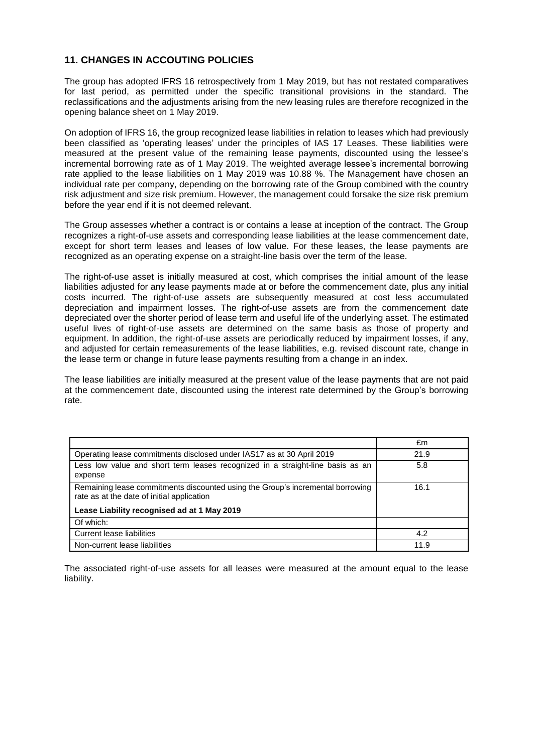# **11. CHANGES IN ACCOUTING POLICIES**

The group has adopted IFRS 16 retrospectively from 1 May 2019, but has not restated comparatives for last period, as permitted under the specific transitional provisions in the standard. The reclassifications and the adjustments arising from the new leasing rules are therefore recognized in the opening balance sheet on 1 May 2019.

On adoption of IFRS 16, the group recognized lease liabilities in relation to leases which had previously been classified as 'operating leases' under the principles of IAS 17 Leases. These liabilities were measured at the present value of the remaining lease payments, discounted using the lessee's incremental borrowing rate as of 1 May 2019. The weighted average lessee's incremental borrowing rate applied to the lease liabilities on 1 May 2019 was 10.88 %. The Management have chosen an individual rate per company, depending on the borrowing rate of the Group combined with the country risk adjustment and size risk premium. However, the management could forsake the size risk premium before the year end if it is not deemed relevant.

The Group assesses whether a contract is or contains a lease at inception of the contract. The Group recognizes a right-of-use assets and corresponding lease liabilities at the lease commencement date, except for short term leases and leases of low value. For these leases, the lease payments are recognized as an operating expense on a straight-line basis over the term of the lease.

The right-of-use asset is initially measured at cost, which comprises the initial amount of the lease liabilities adjusted for any lease payments made at or before the commencement date, plus any initial costs incurred. The right-of-use assets are subsequently measured at cost less accumulated depreciation and impairment losses. The right-of-use assets are from the commencement date depreciated over the shorter period of lease term and useful life of the underlying asset. The estimated useful lives of right-of-use assets are determined on the same basis as those of property and equipment. In addition, the right-of-use assets are periodically reduced by impairment losses, if any, and adjusted for certain remeasurements of the lease liabilities, e.g. revised discount rate, change in the lease term or change in future lease payments resulting from a change in an index.

The lease liabilities are initially measured at the present value of the lease payments that are not paid at the commencement date, discounted using the interest rate determined by the Group's borrowing rate.

|                                                                                                                              | £m   |
|------------------------------------------------------------------------------------------------------------------------------|------|
| Operating lease commitments disclosed under IAS17 as at 30 April 2019                                                        | 21.9 |
| Less low value and short term leases recognized in a straight-line basis as an<br>expense                                    | 5.8  |
| Remaining lease commitments discounted using the Group's incremental borrowing<br>rate as at the date of initial application | 16.1 |
| Lease Liability recognised ad at 1 May 2019                                                                                  |      |
| Of which:                                                                                                                    |      |
| Current lease liabilities                                                                                                    | 4.2  |
| Non-current lease liabilities                                                                                                | 11.9 |

The associated right-of-use assets for all leases were measured at the amount equal to the lease liability.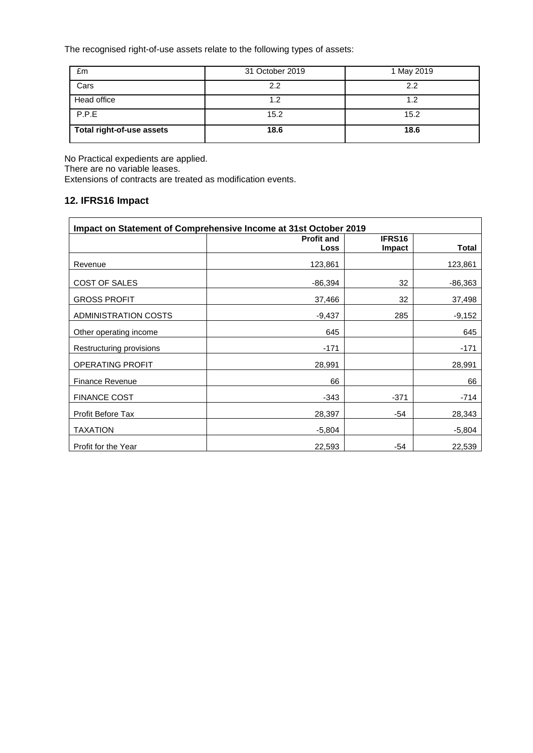The recognised right-of-use assets relate to the following types of assets:

| £m                        | 31 October 2019 | 1 May 2019 |
|---------------------------|-----------------|------------|
| Cars                      | 2.2             | 2.2        |
| Head office               | 1.2             | 1.2        |
| P.P.E                     | 15.2            | 15.2       |
| Total right-of-use assets | 18.6            | 18.6       |

No Practical expedients are applied. There are no variable leases.

Extensions of contracts are treated as modification events.

# **12. IFRS16 Impact**

| Impact on Statement of Comprehensive Income at 31st October 2019 |                           |                  |              |  |  |
|------------------------------------------------------------------|---------------------------|------------------|--------------|--|--|
|                                                                  | <b>Profit and</b><br>Loss | IFRS16<br>Impact | <b>Total</b> |  |  |
| Revenue                                                          | 123,861                   |                  | 123,861      |  |  |
| COST OF SALES                                                    | $-86,394$                 | 32               | $-86,363$    |  |  |
| <b>GROSS PROFIT</b>                                              | 37,466                    | 32               | 37,498       |  |  |
| <b>ADMINISTRATION COSTS</b>                                      | $-9,437$                  | 285              | $-9,152$     |  |  |
| Other operating income                                           | 645                       |                  | 645          |  |  |
| Restructuring provisions                                         | $-171$                    |                  | $-171$       |  |  |
| <b>OPERATING PROFIT</b>                                          | 28,991                    |                  | 28,991       |  |  |
| <b>Finance Revenue</b>                                           | 66                        |                  | 66           |  |  |
| <b>FINANCE COST</b>                                              | $-343$                    | $-371$           | $-714$       |  |  |
| Profit Before Tax                                                | 28,397                    | $-54$            | 28,343       |  |  |
| <b>TAXATION</b>                                                  | $-5,804$                  |                  | $-5,804$     |  |  |
| Profit for the Year                                              | 22,593                    | -54              | 22,539       |  |  |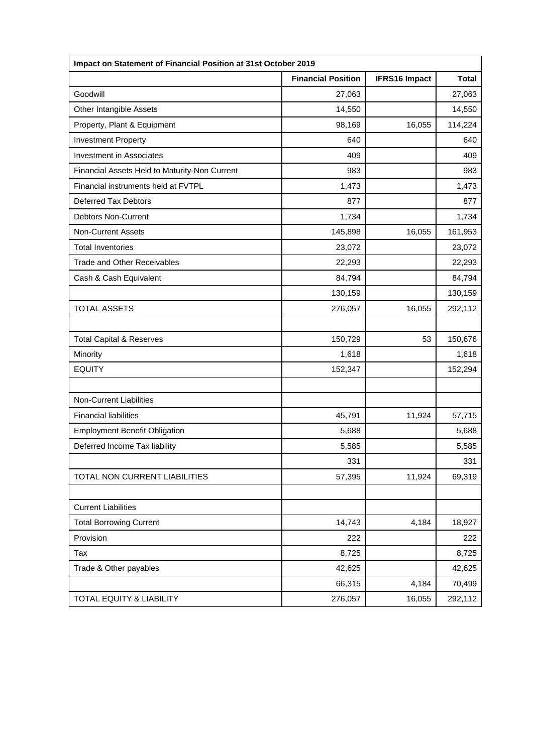| Impact on Statement of Financial Position at 31st October 2019 |                           |                      |              |
|----------------------------------------------------------------|---------------------------|----------------------|--------------|
|                                                                | <b>Financial Position</b> | <b>IFRS16 Impact</b> | <b>Total</b> |
| Goodwill                                                       | 27,063                    |                      | 27,063       |
| Other Intangible Assets                                        | 14,550                    |                      | 14,550       |
| Property, Plant & Equipment                                    | 98,169                    | 16,055               | 114,224      |
| <b>Investment Property</b>                                     | 640                       |                      | 640          |
| <b>Investment in Associates</b>                                | 409                       |                      | 409          |
| Financial Assets Held to Maturity-Non Current                  | 983                       |                      | 983          |
| Financial instruments held at FVTPL                            | 1,473                     |                      | 1,473        |
| <b>Deferred Tax Debtors</b>                                    | 877                       |                      | 877          |
| <b>Debtors Non-Current</b>                                     | 1,734                     |                      | 1,734        |
| <b>Non-Current Assets</b>                                      | 145,898                   | 16,055               | 161,953      |
| <b>Total Inventories</b>                                       | 23,072                    |                      | 23,072       |
| <b>Trade and Other Receivables</b>                             | 22,293                    |                      | 22,293       |
| Cash & Cash Equivalent                                         | 84,794                    |                      | 84,794       |
|                                                                | 130,159                   |                      | 130,159      |
| <b>TOTAL ASSETS</b>                                            | 276,057                   | 16,055               | 292,112      |
|                                                                |                           |                      |              |
| <b>Total Capital &amp; Reserves</b>                            | 150,729                   | 53                   | 150,676      |
| Minority                                                       | 1,618                     |                      | 1,618        |
| <b>EQUITY</b>                                                  | 152,347                   |                      | 152,294      |
|                                                                |                           |                      |              |
| <b>Non-Current Liabilities</b>                                 |                           |                      |              |
| <b>Financial liabilities</b>                                   | 45,791                    | 11,924               | 57,715       |
| <b>Employment Benefit Obligation</b>                           | 5,688                     |                      | 5,688        |
| Deferred Income Tax liability                                  | 5,585                     |                      | 5,585        |
|                                                                | 331                       |                      | 331          |
| TOTAL NON CURRENT LIABILITIES                                  | 57,395                    | 11,924               | 69,319       |
|                                                                |                           |                      |              |
| <b>Current Liabilities</b>                                     |                           |                      |              |
| <b>Total Borrowing Current</b>                                 | 14,743                    | 4,184                | 18,927       |
| Provision                                                      | 222                       |                      | 222          |
| Tax                                                            | 8,725                     |                      | 8,725        |
| Trade & Other payables                                         | 42,625                    |                      | 42,625       |
|                                                                | 66,315                    | 4,184                | 70,499       |
| <b>TOTAL EQUITY &amp; LIABILITY</b>                            | 276,057                   | 16,055               | 292,112      |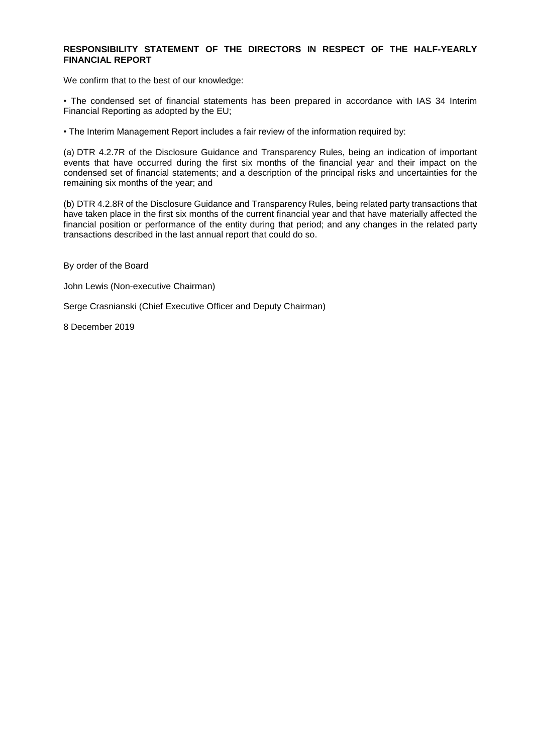### **RESPONSIBILITY STATEMENT OF THE DIRECTORS IN RESPECT OF THE HALF-YEARLY FINANCIAL REPORT**

We confirm that to the best of our knowledge:

• The condensed set of financial statements has been prepared in accordance with IAS 34 Interim Financial Reporting as adopted by the EU;

• The Interim Management Report includes a fair review of the information required by:

(a) DTR 4.2.7R of the Disclosure Guidance and Transparency Rules, being an indication of important events that have occurred during the first six months of the financial year and their impact on the condensed set of financial statements; and a description of the principal risks and uncertainties for the remaining six months of the year; and

(b) DTR 4.2.8R of the Disclosure Guidance and Transparency Rules, being related party transactions that have taken place in the first six months of the current financial year and that have materially affected the financial position or performance of the entity during that period; and any changes in the related party transactions described in the last annual report that could do so.

By order of the Board

John Lewis (Non-executive Chairman)

Serge Crasnianski (Chief Executive Officer and Deputy Chairman)

8 December 2019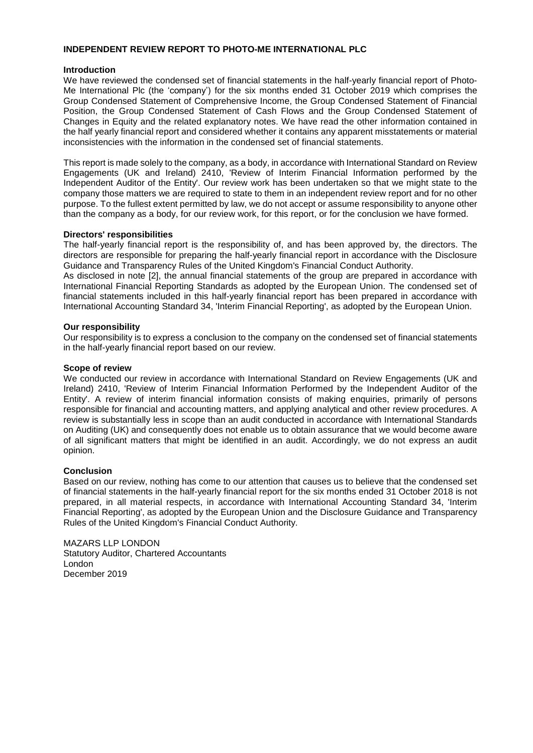#### **INDEPENDENT REVIEW REPORT TO PHOTO-ME INTERNATIONAL PLC**

### **Introduction**

We have reviewed the condensed set of financial statements in the half-yearly financial report of Photo-Me International Plc (the 'company') for the six months ended 31 October 2019 which comprises the Group Condensed Statement of Comprehensive Income, the Group Condensed Statement of Financial Position, the Group Condensed Statement of Cash Flows and the Group Condensed Statement of Changes in Equity and the related explanatory notes. We have read the other information contained in the half yearly financial report and considered whether it contains any apparent misstatements or material inconsistencies with the information in the condensed set of financial statements.

This report is made solely to the company, as a body, in accordance with International Standard on Review Engagements (UK and Ireland) 2410, 'Review of Interim Financial Information performed by the Independent Auditor of the Entity'. Our review work has been undertaken so that we might state to the company those matters we are required to state to them in an independent review report and for no other purpose. To the fullest extent permitted by law, we do not accept or assume responsibility to anyone other than the company as a body, for our review work, for this report, or for the conclusion we have formed.

### **Directors' responsibilities**

The half-yearly financial report is the responsibility of, and has been approved by, the directors. The directors are responsible for preparing the half-yearly financial report in accordance with the Disclosure Guidance and Transparency Rules of the United Kingdom's Financial Conduct Authority.

As disclosed in note [2], the annual financial statements of the group are prepared in accordance with International Financial Reporting Standards as adopted by the European Union. The condensed set of financial statements included in this half-yearly financial report has been prepared in accordance with International Accounting Standard 34, 'Interim Financial Reporting', as adopted by the European Union.

### **Our responsibility**

Our responsibility is to express a conclusion to the company on the condensed set of financial statements in the half-yearly financial report based on our review.

### **Scope of review**

We conducted our review in accordance with International Standard on Review Engagements (UK and Ireland) 2410, 'Review of Interim Financial Information Performed by the Independent Auditor of the Entity'. A review of interim financial information consists of making enquiries, primarily of persons responsible for financial and accounting matters, and applying analytical and other review procedures. A review is substantially less in scope than an audit conducted in accordance with International Standards on Auditing (UK) and consequently does not enable us to obtain assurance that we would become aware of all significant matters that might be identified in an audit. Accordingly, we do not express an audit opinion.

### **Conclusion**

Based on our review, nothing has come to our attention that causes us to believe that the condensed set of financial statements in the half-yearly financial report for the six months ended 31 October 2018 is not prepared, in all material respects, in accordance with International Accounting Standard 34, 'Interim Financial Reporting', as adopted by the European Union and the Disclosure Guidance and Transparency Rules of the United Kingdom's Financial Conduct Authority.

MAZARS LLP LONDON Statutory Auditor, Chartered Accountants London December 2019